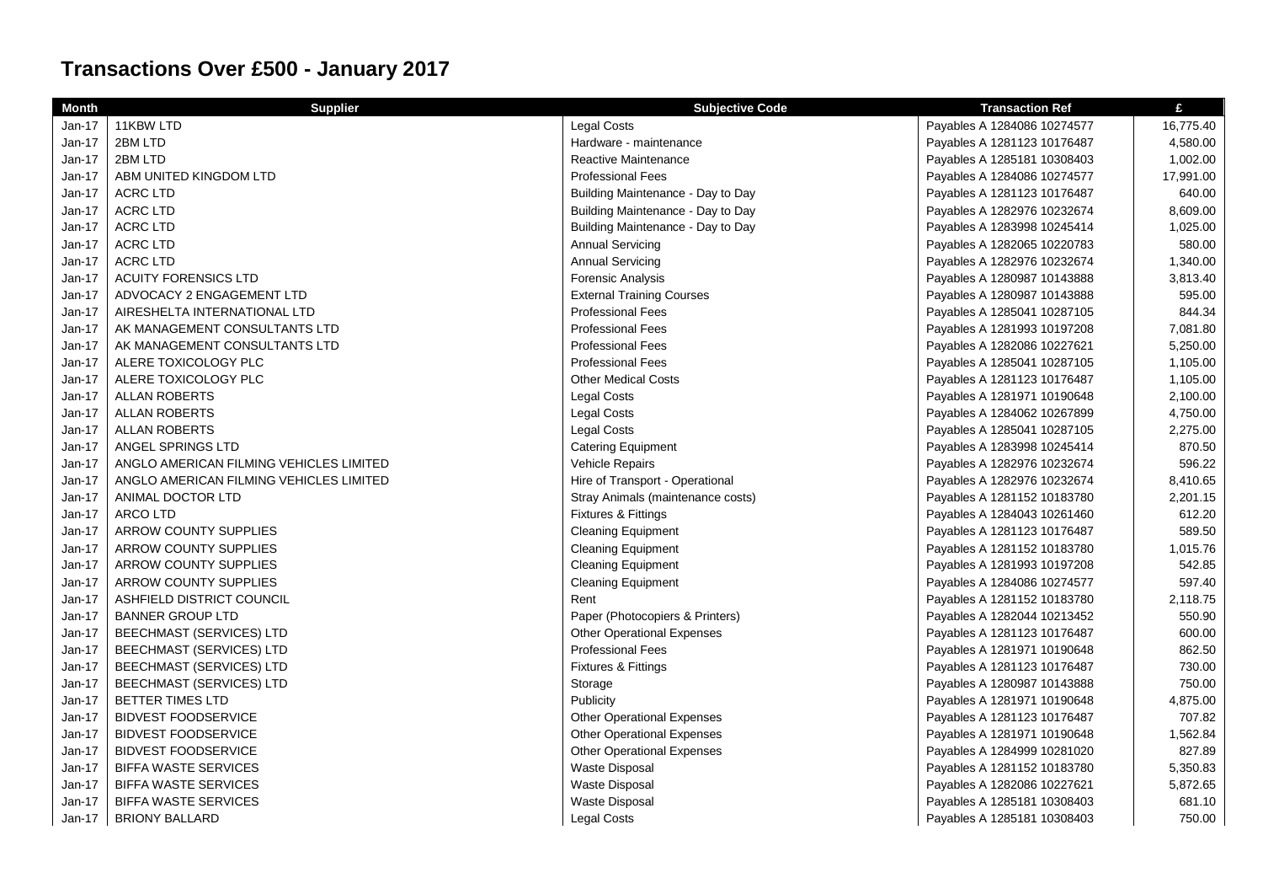## **Transactions Over £500 - January 2017**

| <b>Month</b> | <b>Supplier</b>                         | <b>Subjective Code</b>            | <b>Transaction Ref</b>      | £         |
|--------------|-----------------------------------------|-----------------------------------|-----------------------------|-----------|
| $Jan-17$     | 11KBW LTD                               | <b>Legal Costs</b>                | Payables A 1284086 10274577 | 16,775.40 |
| Jan-17       | 2BM LTD                                 | Hardware - maintenance            | Payables A 1281123 10176487 | 4,580.00  |
| Jan-17       | 2BM LTD                                 | Reactive Maintenance              | Payables A 1285181 10308403 | 1,002.00  |
| Jan-17       | ABM UNITED KINGDOM LTD                  | Professional Fees                 | Payables A 1284086 10274577 | 17,991.00 |
| Jan-17       | <b>ACRC LTD</b>                         | Building Maintenance - Day to Day | Payables A 1281123 10176487 | 640.00    |
| Jan-17       | <b>ACRC LTD</b>                         | Building Maintenance - Day to Day | Payables A 1282976 10232674 | 8,609.00  |
| Jan-17       | <b>ACRC LTD</b>                         | Building Maintenance - Day to Day | Payables A 1283998 10245414 | 1,025.00  |
| Jan-17       | <b>ACRC LTD</b>                         | <b>Annual Servicing</b>           | Payables A 1282065 10220783 | 580.00    |
| Jan-17       | <b>ACRC LTD</b>                         | <b>Annual Servicing</b>           | Payables A 1282976 10232674 | 1,340.00  |
| Jan-17       | <b>ACUITY FORENSICS LTD</b>             | <b>Forensic Analysis</b>          | Payables A 1280987 10143888 | 3,813.40  |
| Jan-17       | ADVOCACY 2 ENGAGEMENT LTD               | <b>External Training Courses</b>  | Payables A 1280987 10143888 | 595.00    |
| Jan-17       | AIRESHELTA INTERNATIONAL LTD            | <b>Professional Fees</b>          | Payables A 1285041 10287105 | 844.34    |
| Jan-17       | AK MANAGEMENT CONSULTANTS LTD           | <b>Professional Fees</b>          | Payables A 1281993 10197208 | 7,081.80  |
| Jan-17       | AK MANAGEMENT CONSULTANTS LTD           | <b>Professional Fees</b>          | Payables A 1282086 10227621 | 5,250.00  |
| Jan-17       | ALERE TOXICOLOGY PLC                    | <b>Professional Fees</b>          | Payables A 1285041 10287105 | 1,105.00  |
| $Jan-17$     | ALERE TOXICOLOGY PLC                    | <b>Other Medical Costs</b>        | Payables A 1281123 10176487 | 1,105.00  |
| Jan-17       | <b>ALLAN ROBERTS</b>                    | <b>Legal Costs</b>                | Payables A 1281971 10190648 | 2,100.00  |
| Jan-17       | <b>ALLAN ROBERTS</b>                    | <b>Legal Costs</b>                | Payables A 1284062 10267899 | 4,750.00  |
| Jan-17       | <b>ALLAN ROBERTS</b>                    | <b>Legal Costs</b>                | Payables A 1285041 10287105 | 2,275.00  |
| Jan-17       | ANGEL SPRINGS LTD                       | <b>Catering Equipment</b>         | Payables A 1283998 10245414 | 870.50    |
| Jan-17       | ANGLO AMERICAN FILMING VEHICLES LIMITED | Vehicle Repairs                   | Payables A 1282976 10232674 | 596.22    |
| Jan-17       | ANGLO AMERICAN FILMING VEHICLES LIMITED | Hire of Transport - Operational   | Payables A 1282976 10232674 | 8,410.65  |
| Jan-17       | ANIMAL DOCTOR LTD                       | Stray Animals (maintenance costs) | Payables A 1281152 10183780 | 2,201.15  |
| Jan-17       | <b>ARCO LTD</b>                         | Fixtures & Fittings               | Payables A 1284043 10261460 | 612.20    |
| Jan-17       | ARROW COUNTY SUPPLIES                   | <b>Cleaning Equipment</b>         | Payables A 1281123 10176487 | 589.50    |
| Jan-17       | ARROW COUNTY SUPPLIES                   | <b>Cleaning Equipment</b>         | Payables A 1281152 10183780 | 1,015.76  |
| Jan-17       | ARROW COUNTY SUPPLIES                   | <b>Cleaning Equipment</b>         | Payables A 1281993 10197208 | 542.85    |
| Jan-17       | ARROW COUNTY SUPPLIES                   | <b>Cleaning Equipment</b>         | Payables A 1284086 10274577 | 597.40    |
| Jan-17       | ASHFIELD DISTRICT COUNCIL               | Rent                              | Payables A 1281152 10183780 | 2,118.75  |
| Jan-17       | <b>BANNER GROUP LTD</b>                 | Paper (Photocopiers & Printers)   | Payables A 1282044 10213452 | 550.90    |
| Jan-17       | BEECHMAST (SERVICES) LTD                | <b>Other Operational Expenses</b> | Payables A 1281123 10176487 | 600.00    |
| Jan-17       | <b>BEECHMAST (SERVICES) LTD</b>         | <b>Professional Fees</b>          | Payables A 1281971 10190648 | 862.50    |
| Jan-17       | BEECHMAST (SERVICES) LTD                | <b>Fixtures &amp; Fittings</b>    | Payables A 1281123 10176487 | 730.00    |
| Jan-17       | <b>BEECHMAST (SERVICES) LTD</b>         | Storage                           | Payables A 1280987 10143888 | 750.00    |
| Jan-17       | <b>BETTER TIMES LTD</b>                 | Publicity                         | Payables A 1281971 10190648 | 4,875.00  |
| Jan-17       | <b>BIDVEST FOODSERVICE</b>              | <b>Other Operational Expenses</b> | Payables A 1281123 10176487 | 707.82    |
| Jan-17       | <b>BIDVEST FOODSERVICE</b>              | <b>Other Operational Expenses</b> | Payables A 1281971 10190648 | 1,562.84  |
| Jan-17       | <b>BIDVEST FOODSERVICE</b>              | <b>Other Operational Expenses</b> | Payables A 1284999 10281020 | 827.89    |
| $Jan-17$     | <b>BIFFA WASTE SERVICES</b>             | <b>Waste Disposal</b>             | Payables A 1281152 10183780 | 5,350.83  |
| Jan-17       | <b>BIFFA WASTE SERVICES</b>             | Waste Disposal                    | Payables A 1282086 10227621 | 5,872.65  |
| Jan-17       | <b>BIFFA WASTE SERVICES</b>             | Waste Disposal                    | Payables A 1285181 10308403 | 681.10    |
| $Jan-17$     | <b>BRIONY BALLARD</b>                   | <b>Legal Costs</b>                | Payables A 1285181 10308403 | 750.00    |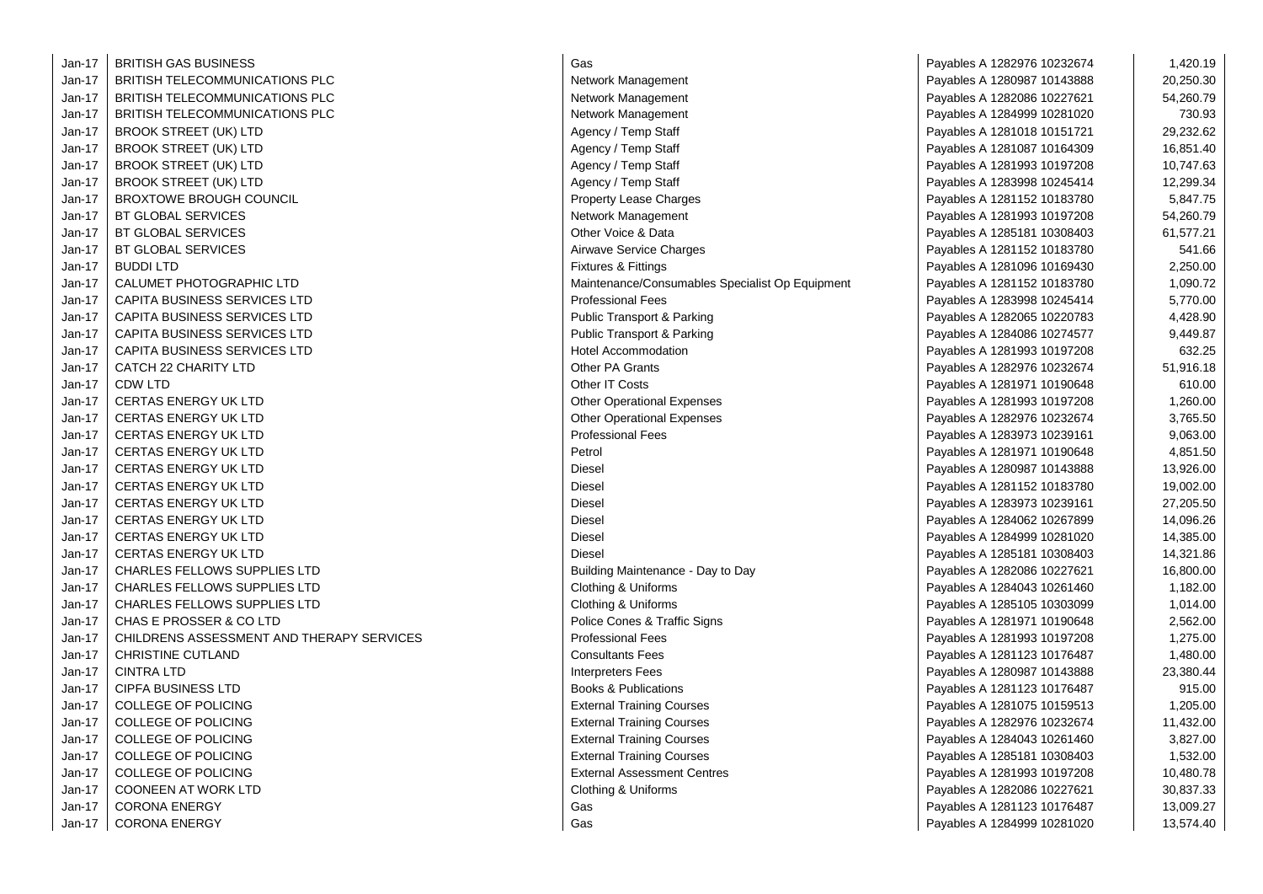| Jan-17 | <b>BRITISH GAS BUSINESS</b>               | Gas                                             | Payables A 1282976 10232674 | 1,420.19  |
|--------|-------------------------------------------|-------------------------------------------------|-----------------------------|-----------|
| Jan-17 | <b>BRITISH TELECOMMUNICATIONS PLC</b>     | Network Management                              | Payables A 1280987 10143888 | 20,250.30 |
| Jan-17 | BRITISH TELECOMMUNICATIONS PLC            | Network Management                              | Payables A 1282086 10227621 | 54,260.79 |
| Jan-17 | <b>BRITISH TELECOMMUNICATIONS PLC</b>     | Network Management                              | Payables A 1284999 10281020 | 730.93    |
| Jan-17 | <b>BROOK STREET (UK) LTD</b>              | Agency / Temp Staff                             | Payables A 1281018 10151721 | 29,232.62 |
| Jan-17 | <b>BROOK STREET (UK) LTD</b>              | Agency / Temp Staff                             | Payables A 1281087 10164309 | 16,851.40 |
| Jan-17 | <b>BROOK STREET (UK) LTD</b>              | Agency / Temp Staff                             | Payables A 1281993 10197208 | 10,747.63 |
| Jan-17 | <b>BROOK STREET (UK) LTD</b>              | Agency / Temp Staff                             | Payables A 1283998 10245414 | 12,299.34 |
| Jan-17 | <b>BROXTOWE BROUGH COUNCIL</b>            | <b>Property Lease Charges</b>                   | Payables A 1281152 10183780 | 5,847.75  |
| Jan-17 | BT GLOBAL SERVICES                        | Network Management                              | Payables A 1281993 10197208 | 54,260.79 |
| Jan-17 | <b>BT GLOBAL SERVICES</b>                 | Other Voice & Data                              | Payables A 1285181 10308403 | 61,577.21 |
| Jan-17 | <b>BT GLOBAL SERVICES</b>                 | Airwave Service Charges                         | Payables A 1281152 10183780 | 541.66    |
| Jan-17 | <b>BUDDILTD</b>                           | <b>Fixtures &amp; Fittings</b>                  | Payables A 1281096 10169430 | 2,250.00  |
| Jan-17 | CALUMET PHOTOGRAPHIC LTD                  | Maintenance/Consumables Specialist Op Equipment | Payables A 1281152 10183780 | 1,090.72  |
| Jan-17 | <b>CAPITA BUSINESS SERVICES LTD</b>       | <b>Professional Fees</b>                        | Payables A 1283998 10245414 | 5,770.00  |
| Jan-17 | CAPITA BUSINESS SERVICES LTD              | Public Transport & Parking                      | Payables A 1282065 10220783 | 4,428.90  |
| Jan-17 | <b>CAPITA BUSINESS SERVICES LTD</b>       | Public Transport & Parking                      | Payables A 1284086 10274577 | 9,449.87  |
| Jan-17 | <b>CAPITA BUSINESS SERVICES LTD</b>       | <b>Hotel Accommodation</b>                      | Payables A 1281993 10197208 | 632.25    |
| Jan-17 | CATCH 22 CHARITY LTD                      | <b>Other PA Grants</b>                          | Payables A 1282976 10232674 | 51,916.18 |
| Jan-17 | CDW LTD                                   | Other IT Costs                                  | Payables A 1281971 10190648 | 610.00    |
| Jan-17 | <b>CERTAS ENERGY UK LTD</b>               | <b>Other Operational Expenses</b>               | Payables A 1281993 10197208 | 1,260.00  |
| Jan-17 | <b>CERTAS ENERGY UK LTD</b>               | <b>Other Operational Expenses</b>               | Payables A 1282976 10232674 | 3,765.50  |
| Jan-17 | CERTAS ENERGY UK LTD                      | <b>Professional Fees</b>                        | Payables A 1283973 10239161 | 9,063.00  |
| Jan-17 | CERTAS ENERGY UK LTD                      | Petrol                                          | Payables A 1281971 10190648 | 4,851.50  |
| Jan-17 | <b>CERTAS ENERGY UK LTD</b>               | <b>Diesel</b>                                   | Payables A 1280987 10143888 | 13,926.00 |
| Jan-17 | CERTAS ENERGY UK LTD                      | <b>Diesel</b>                                   | Payables A 1281152 10183780 | 19,002.00 |
| Jan-17 | CERTAS ENERGY UK LTD                      | Diesel                                          | Payables A 1283973 10239161 | 27,205.50 |
| Jan-17 | CERTAS ENERGY UK LTD                      | <b>Diesel</b>                                   | Payables A 1284062 10267899 | 14,096.26 |
| Jan-17 | CERTAS ENERGY UK LTD                      | <b>Diesel</b>                                   | Payables A 1284999 10281020 | 14,385.00 |
| Jan-17 | CERTAS ENERGY UK LTD                      | <b>Diesel</b>                                   | Payables A 1285181 10308403 | 14,321.86 |
| Jan-17 | CHARLES FELLOWS SUPPLIES LTD              | Building Maintenance - Day to Day               | Payables A 1282086 10227621 | 16,800.00 |
| Jan-17 | <b>CHARLES FELLOWS SUPPLIES LTD</b>       | Clothing & Uniforms                             | Payables A 1284043 10261460 | 1,182.00  |
| Jan-17 | CHARLES FELLOWS SUPPLIES LTD              | Clothing & Uniforms                             | Payables A 1285105 10303099 | 1,014.00  |
| Jan-17 | CHAS E PROSSER & CO LTD                   | Police Cones & Traffic Signs                    | Payables A 1281971 10190648 | 2,562.00  |
| Jan-17 | CHILDRENS ASSESSMENT AND THERAPY SERVICES | <b>Professional Fees</b>                        | Payables A 1281993 10197208 | 1,275.00  |
| Jan-17 | CHRISTINE CUTLAND                         | <b>Consultants Fees</b>                         | Payables A 1281123 10176487 | 1,480.00  |
| Jan-17 | <b>CINTRA LTD</b>                         | <b>Interpreters Fees</b>                        | Payables A 1280987 10143888 | 23,380.44 |
| Jan-17 | <b>CIPFA BUSINESS LTD</b>                 | Books & Publications                            | Payables A 1281123 10176487 | 915.00    |
| Jan-17 | COLLEGE OF POLICING                       | <b>External Training Courses</b>                | Payables A 1281075 10159513 | 1,205.00  |
| Jan-17 | COLLEGE OF POLICING                       | <b>External Training Courses</b>                | Payables A 1282976 10232674 | 11,432.00 |
| Jan-17 | COLLEGE OF POLICING                       | <b>External Training Courses</b>                | Payables A 1284043 10261460 | 3,827.00  |
| Jan-17 | <b>COLLEGE OF POLICING</b>                | <b>External Training Courses</b>                | Payables A 1285181 10308403 | 1,532.00  |
| Jan-17 | <b>COLLEGE OF POLICING</b>                | <b>External Assessment Centres</b>              | Payables A 1281993 10197208 | 10,480.78 |
| Jan-17 | <b>COONEEN AT WORK LTD</b>                | Clothing & Uniforms                             | Payables A 1282086 10227621 | 30,837.33 |
| Jan-17 | <b>CORONA ENERGY</b>                      | Gas                                             | Payables A 1281123 10176487 | 13,009.27 |
| Jan-17 | <b>CORONA ENERGY</b>                      | Gas                                             | Payables A 1284999 10281020 | 13,574.40 |
|        |                                           |                                                 |                             |           |

| Gas                                          |
|----------------------------------------------|
| Network Management                           |
| Network Management                           |
| Network Management                           |
| Agency / Temp Staff                          |
| Agency / Temp Staff                          |
| Agency / Temp Staff                          |
| Agency / Temp Staff                          |
| <b>Property Lease Charges</b>                |
| Network Management                           |
| Other Voice & Data                           |
| Airwave Service Charges                      |
| Fixtures & Fittings                          |
| Maintenance/Consumables Specialist Op Equipn |
| <b>Professional Fees</b>                     |
| Public Transport & Parking                   |
| Public Transport & Parking                   |
| <b>Hotel Accommodation</b>                   |
| <b>Other PA Grants</b>                       |
| Other IT Costs                               |
| <b>Other Operational Expenses</b>            |
| <b>Other Operational Expenses</b>            |
| <b>Professional Fees</b>                     |
| Petrol                                       |
| <b>Diesel</b>                                |
| Diesel                                       |
| Diesel                                       |
| Diesel                                       |
| Diesel                                       |
| Diesel                                       |
| Building Maintenance - Day to Day            |
| Clothing & Uniforms                          |
| Clothing & Uniforms                          |
| Police Cones & Traffic Signs                 |
| <b>Professional Fees</b>                     |
| <b>Consultants Fees</b>                      |
| <b>Interpreters Fees</b>                     |
| <b>Books &amp; Publications</b>              |
| <b>External Training Courses</b>             |
| <b>External Training Courses</b>             |
| <b>External Training Courses</b>             |
| <b>External Training Courses</b>             |
| <b>External Assessment Centres</b>           |
| Clothing & Uniforms                          |
| Gas                                          |
| Gas                                          |

| Payables A 1282976 10232674 | 1,420.19  |
|-----------------------------|-----------|
| Payables A 1280987 10143888 | 20,250.30 |
| Payables A 1282086 10227621 | 54,260.79 |
| Payables A 1284999 10281020 | 730.93    |
| Payables A 1281018 10151721 | 29,232.62 |
| Payables A 1281087 10164309 | 16,851.40 |
| Payables A 1281993 10197208 | 10,747.63 |
| Payables A 1283998 10245414 | 12,299.34 |
| Payables A 1281152 10183780 | 5,847.75  |
| Payables A 1281993 10197208 | 54,260.79 |
| Payables A 1285181 10308403 | 61,577.21 |
| Payables A 1281152 10183780 | 541.66    |
| Payables A 1281096 10169430 | 2,250.00  |
| Payables A 1281152 10183780 | 1,090.72  |
| Payables A 1283998 10245414 | 5,770.00  |
| Payables A 1282065 10220783 | 4,428.90  |
| Payables A 1284086 10274577 | 9,449.87  |
| Payables A 1281993 10197208 | 632.25    |
| Payables A 1282976 10232674 | 51,916.18 |
| Payables A 1281971 10190648 | 610.00    |
| Payables A 1281993 10197208 | 1,260.00  |
| Payables A 1282976 10232674 | 3,765.50  |
| Payables A 1283973 10239161 | 9,063.00  |
| Payables A 1281971 10190648 | 4,851.50  |
| Payables A 1280987 10143888 | 13,926.00 |
| Payables A 1281152 10183780 | 19,002.00 |
| Payables A 1283973 10239161 | 27,205.50 |
| Payables A 1284062 10267899 | 14,096.26 |
| Payables A 1284999 10281020 | 14,385.00 |
| Payables A 1285181 10308403 | 14,321.86 |
| Payables A 1282086 10227621 | 16,800.00 |
| Payables A 1284043 10261460 | 1,182.00  |
| Payables A 1285105 10303099 | 1,014.00  |
| Payables A 1281971 10190648 | 2,562.00  |
| Payables A 1281993 10197208 | 1,275.00  |
| Payables A 1281123 10176487 | 1,480.00  |
| Payables A 1280987 10143888 | 23,380.44 |
| Payables A 1281123 10176487 | 915.00    |
| Payables A 1281075 10159513 | 1,205.00  |
| Payables A 1282976 10232674 | 11,432.00 |
| Payables A 1284043 10261460 | 3,827.00  |
| Payables A 1285181 10308403 | 1,532.00  |
| Payables A 1281993 10197208 | 10,480.78 |
| Payables A 1282086 10227621 | 30,837.33 |
| Payables A 1281123 10176487 | 13,009.27 |
| Pavables A 1284999 10281020 | 13.574.40 |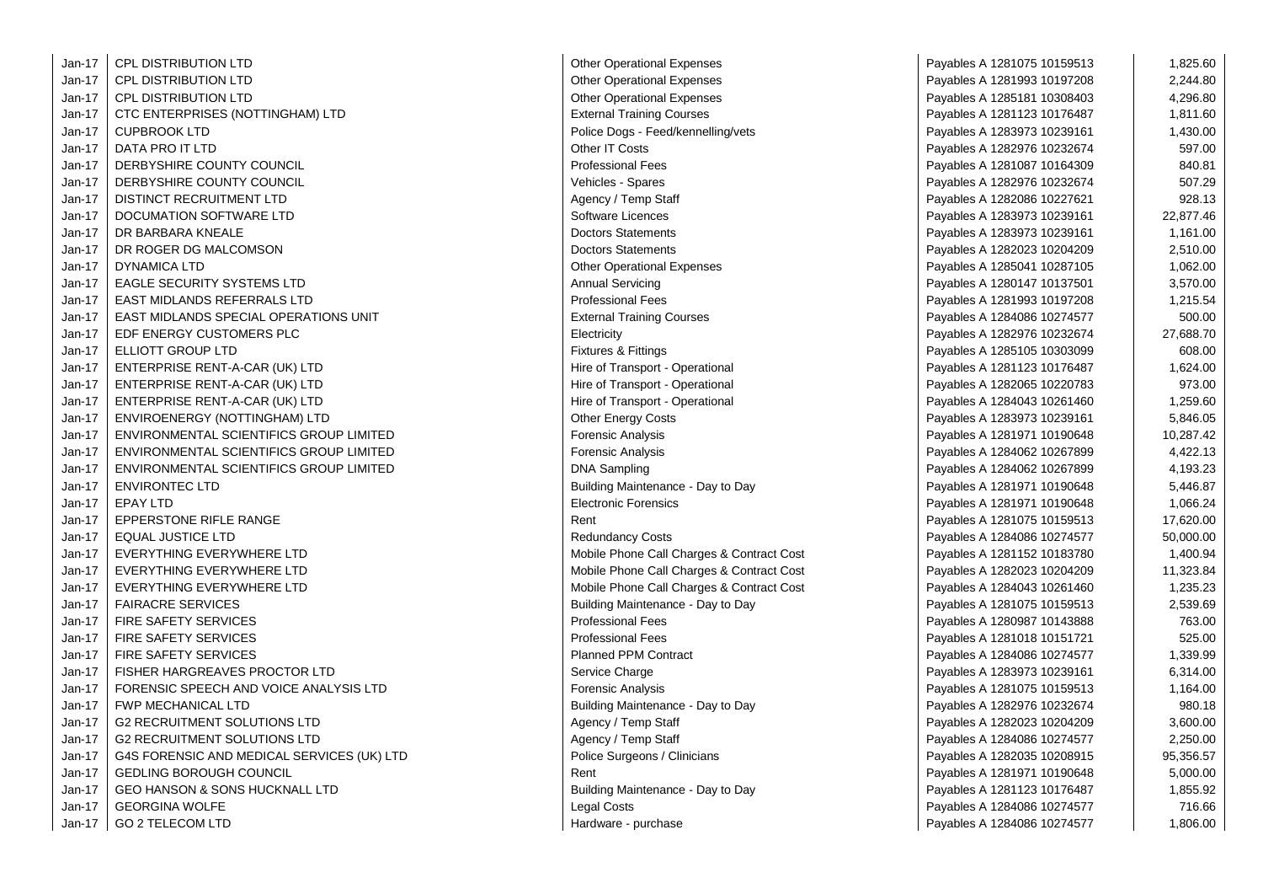| Jan-17   | <b>CPL DISTRIBUTION LTD</b>                | <b>Other Operational Expenses</b>         | Payables A 1281075 10159513 | 1,825.60  |
|----------|--------------------------------------------|-------------------------------------------|-----------------------------|-----------|
| Jan-17   | CPL DISTRIBUTION LTD                       | <b>Other Operational Expenses</b>         | Payables A 1281993 10197208 | 2,244.80  |
| Jan-17   | <b>CPL DISTRIBUTION LTD</b>                | <b>Other Operational Expenses</b>         | Payables A 1285181 10308403 | 4,296.80  |
| $Jan-17$ | CTC ENTERPRISES (NOTTINGHAM) LTD           | <b>External Training Courses</b>          | Payables A 1281123 10176487 | 1,811.60  |
| Jan-17   | <b>CUPBROOK LTD</b>                        | Police Dogs - Feed/kennelling/vets        | Payables A 1283973 10239161 | 1,430.00  |
| Jan-17   | DATA PRO IT LTD                            | Other IT Costs                            | Payables A 1282976 10232674 | 597.00    |
| Jan-17   | DERBYSHIRE COUNTY COUNCIL                  | <b>Professional Fees</b>                  | Payables A 1281087 10164309 | 840.81    |
| $Jan-17$ | DERBYSHIRE COUNTY COUNCIL                  | Vehicles - Spares                         | Payables A 1282976 10232674 | 507.29    |
| Jan-17   | DISTINCT RECRUITMENT LTD                   | Agency / Temp Staff                       | Payables A 1282086 10227621 | 928.13    |
| $Jan-17$ | DOCUMATION SOFTWARE LTD                    | Software Licences                         | Payables A 1283973 10239161 | 22,877.46 |
| Jan-17   | DR BARBARA KNEALE                          | <b>Doctors Statements</b>                 | Payables A 1283973 10239161 | 1,161.00  |
| Jan-17   | DR ROGER DG MALCOMSON                      | <b>Doctors Statements</b>                 | Payables A 1282023 10204209 | 2,510.00  |
| Jan-17   | <b>DYNAMICA LTD</b>                        | <b>Other Operational Expenses</b>         | Payables A 1285041 10287105 | 1,062.00  |
| Jan-17   | <b>EAGLE SECURITY SYSTEMS LTD</b>          | <b>Annual Servicing</b>                   | Payables A 1280147 10137501 | 3,570.00  |
| Jan-17   | EAST MIDLANDS REFERRALS LTD                | <b>Professional Fees</b>                  | Payables A 1281993 10197208 | 1,215.54  |
| Jan-17   | EAST MIDLANDS SPECIAL OPERATIONS UNIT      | <b>External Training Courses</b>          | Payables A 1284086 10274577 | 500.00    |
| Jan-17   | EDF ENERGY CUSTOMERS PLC                   | Electricity                               | Payables A 1282976 10232674 | 27,688.70 |
| Jan-17   | ELLIOTT GROUP LTD                          | <b>Fixtures &amp; Fittings</b>            | Payables A 1285105 10303099 | 608.00    |
| Jan-17   | ENTERPRISE RENT-A-CAR (UK) LTD             | Hire of Transport - Operational           | Payables A 1281123 10176487 | 1,624.00  |
| Jan-17   | ENTERPRISE RENT-A-CAR (UK) LTD             | Hire of Transport - Operational           | Payables A 1282065 10220783 | 973.00    |
| Jan-17   | ENTERPRISE RENT-A-CAR (UK) LTD             | Hire of Transport - Operational           | Payables A 1284043 10261460 | 1,259.60  |
| Jan-17   | ENVIROENERGY (NOTTINGHAM) LTD              | <b>Other Energy Costs</b>                 | Payables A 1283973 10239161 | 5,846.05  |
| Jan-17   | ENVIRONMENTAL SCIENTIFICS GROUP LIMITED    | Forensic Analysis                         | Payables A 1281971 10190648 | 10,287.42 |
| $Jan-17$ | ENVIRONMENTAL SCIENTIFICS GROUP LIMITED    | <b>Forensic Analysis</b>                  | Payables A 1284062 10267899 | 4,422.13  |
| Jan-17   | ENVIRONMENTAL SCIENTIFICS GROUP LIMITED    | <b>DNA Sampling</b>                       | Payables A 1284062 10267899 | 4,193.23  |
| Jan-17   | <b>ENVIRONTEC LTD</b>                      | Building Maintenance - Day to Day         | Payables A 1281971 10190648 | 5,446.87  |
| Jan-17   | <b>EPAY LTD</b>                            | <b>Electronic Forensics</b>               | Payables A 1281971 10190648 | 1,066.24  |
| $Jan-17$ | <b>EPPERSTONE RIFLE RANGE</b>              | Rent                                      | Payables A 1281075 10159513 | 17,620.00 |
| Jan-17   | <b>EQUAL JUSTICE LTD</b>                   | <b>Redundancy Costs</b>                   | Payables A 1284086 10274577 | 50,000.00 |
| $Jan-17$ | EVERYTHING EVERYWHERE LTD                  | Mobile Phone Call Charges & Contract Cost | Payables A 1281152 10183780 | 1,400.94  |
| Jan-17   | EVERYTHING EVERYWHERE LTD                  | Mobile Phone Call Charges & Contract Cost | Payables A 1282023 10204209 | 11,323.84 |
| $Jan-17$ | EVERYTHING EVERYWHERE LTD                  | Mobile Phone Call Charges & Contract Cost | Payables A 1284043 10261460 | 1,235.23  |
| $Jan-17$ | <b>FAIRACRE SERVICES</b>                   | Building Maintenance - Day to Day         | Payables A 1281075 10159513 | 2,539.69  |
| Jan-17   | <b>FIRE SAFETY SERVICES</b>                | <b>Professional Fees</b>                  | Payables A 1280987 10143888 | 763.00    |
| Jan-17   | <b>FIRE SAFETY SERVICES</b>                | <b>Professional Fees</b>                  | Payables A 1281018 10151721 | 525.00    |
| Jan-17   | <b>FIRE SAFETY SERVICES</b>                | <b>Planned PPM Contract</b>               | Payables A 1284086 10274577 | 1,339.99  |
| Jan-17   | FISHER HARGREAVES PROCTOR LTD              | Service Charge                            | Payables A 1283973 10239161 | 6,314.00  |
| Jan-17   | FORENSIC SPEECH AND VOICE ANALYSIS LTD     | <b>Forensic Analysis</b>                  | Payables A 1281075 10159513 | 1,164.00  |
| Jan-17   | <b>FWP MECHANICAL LTD</b>                  | Building Maintenance - Day to Day         | Payables A 1282976 10232674 | 980.18    |
| Jan-17   | <b>G2 RECRUITMENT SOLUTIONS LTD</b>        | Agency / Temp Staff                       | Payables A 1282023 10204209 | 3,600.00  |
| Jan-17   | <b>G2 RECRUITMENT SOLUTIONS LTD</b>        | Agency / Temp Staff                       | Payables A 1284086 10274577 | 2,250.00  |
| Jan-17   | G4S FORENSIC AND MEDICAL SERVICES (UK) LTD | Police Surgeons / Clinicians              | Payables A 1282035 10208915 | 95,356.57 |
| $Jan-17$ | <b>GEDLING BOROUGH COUNCIL</b>             | Rent                                      | Payables A 1281971 10190648 | 5,000.00  |
| Jan-17   | <b>GEO HANSON &amp; SONS HUCKNALL LTD</b>  | Building Maintenance - Day to Day         | Payables A 1281123 10176487 | 1,855.92  |
| Jan-17   | <b>GEORGINA WOLFE</b>                      | Legal Costs                               | Payables A 1284086 10274577 | 716.66    |
| Jan-17   | <b>GO 2 TELECOM LTD</b>                    | Hardware - purchase                       | Payables A 1284086 10274577 | 1,806.00  |

| <b>Other Operational Expenses</b>       |
|-----------------------------------------|
| <b>Other Operational Expenses</b>       |
| <b>Other Operational Expenses</b>       |
| <b>External Training Courses</b>        |
| Police Dogs - Feed/kennelling/vets      |
| Other IT Costs                          |
| <b>Professional Fees</b>                |
| Vehicles - Spares                       |
| Agency / Temp Staff                     |
| Software Licences                       |
| <b>Doctors Statements</b>               |
| <b>Doctors Statements</b>               |
| <b>Other Operational Expenses</b>       |
| <b>Annual Servicing</b>                 |
| <b>Professional Fees</b>                |
| <b>External Training Courses</b>        |
| Electricity                             |
| <b>Fixtures &amp; Fittings</b>          |
| Hire of Transport - Operational         |
| Hire of Transport - Operational         |
| Hire of Transport - Operational         |
| <b>Other Energy Costs</b>               |
| <b>Forensic Analysis</b>                |
| <b>Forensic Analysis</b>                |
| DNA Sampling                            |
| Building Maintenance - Day to Day       |
| <b>Electronic Forensics</b>             |
| Rent                                    |
| <b>Redundancy Costs</b>                 |
| Mobile Phone Call Charges & Contract Co |
| Mobile Phone Call Charges & Contract Co |
| Mobile Phone Call Charges & Contract Co |
| Building Maintenance - Day to Day       |
| <b>Professional Fees</b>                |
| <b>Professional Fees</b>                |
| <b>Planned PPM Contract</b>             |
| Service Charge                          |
| <b>Forensic Analysis</b>                |
| Building Maintenance - Day to Day       |
| Agency / Temp Staff                     |
| Agency / Temp Staff                     |
| Police Surgeons / Clinicians            |
| Rent                                    |
| Building Maintenance - Day to Day       |
| Legal Costs                             |
| Hardware - purchase                     |

| erational Expenses                | Payables A 1281075 10159513 | 1,825.60  |
|-----------------------------------|-----------------------------|-----------|
| erational Expenses                | Payables A 1281993 10197208 | 2,244.80  |
| erational Expenses                | Payables A 1285181 10308403 | 4,296.80  |
| <b>Training Courses</b>           | Payables A 1281123 10176487 | 1,811.60  |
| ogs - Feed/kennelling/vets        | Payables A 1283973 10239161 | 1,430.00  |
| Costs                             | Payables A 1282976 10232674 | 597.00    |
| nal Fees                          | Payables A 1281087 10164309 | 840.81    |
| - Spares                          | Payables A 1282976 10232674 | 507.29    |
| <b>Temp Staff</b>                 | Payables A 1282086 10227621 | 928.13    |
| Licences                          | Payables A 1283973 10239161 | 22,877.46 |
| Statements                        | Payables A 1283973 10239161 | 1,161.00  |
| Statements                        | Payables A 1282023 10204209 | 2,510.00  |
| erational Expenses                | Payables A 1285041 10287105 | 1,062.00  |
| ervicing                          | Payables A 1280147 10137501 | 3,570.00  |
| nal Fees                          | Payables A 1281993 10197208 | 1,215.54  |
| Training Courses                  | Payables A 1284086 10274577 | 500.00    |
|                                   | Payables A 1282976 10232674 | 27,688.70 |
| } Fittings                        | Payables A 1285105 10303099 | 608.00    |
| ansport - Operational             | Payables A 1281123 10176487 | 1,624.00  |
| ansport - Operational             | Payables A 1282065 10220783 | 973.00    |
| ansport - Operational             | Payables A 1284043 10261460 | 1,259.60  |
| ergy Costs                        | Payables A 1283973 10239161 | 5,846.05  |
| Analysis                          | Payables A 1281971 10190648 | 10,287.42 |
| Analysis                          | Payables A 1284062 10267899 | 4,422.13  |
| npling                            | Payables A 1284062 10267899 | 4,193.23  |
| Maintenance - Day to Day          | Payables A 1281971 10190648 | 5,446.87  |
| c Forensics                       | Payables A 1281971 10190648 | 1,066.24  |
|                                   | Payables A 1281075 10159513 | 17,620.00 |
| ncy Costs                         | Payables A 1284086 10274577 | 50,000.00 |
| none Call Charges & Contract Cost | Payables A 1281152 10183780 | 1,400.94  |
| none Call Charges & Contract Cost | Payables A 1282023 10204209 | 11,323.84 |
| none Call Charges & Contract Cost | Payables A 1284043 10261460 | 1,235.23  |
| Maintenance - Day to Day          | Payables A 1281075 10159513 | 2,539.69  |
| nal Fees                          | Payables A 1280987 10143888 | 763.00    |
| nal Fees                          | Payables A 1281018 10151721 | 525.00    |
| <b>PPM Contract</b>               | Payables A 1284086 10274577 | 1,339.99  |
| harge:                            | Payables A 1283973 10239161 | 6,314.00  |
| Analysis                          | Payables A 1281075 10159513 | 1,164.00  |
| Maintenance - Day to Day          | Payables A 1282976 10232674 | 980.18    |
| <b>Temp Staff</b>                 | Payables A 1282023 10204209 | 3,600.00  |
| <b>Temp Staff</b>                 | Payables A 1284086 10274577 | 2,250.00  |
| rgeons / Clinicians               | Payables A 1282035 10208915 | 95,356.57 |
|                                   | Payables A 1281971 10190648 | 5,000.00  |
| Maintenance - Day to Day          | Payables A 1281123 10176487 | 1,855.92  |
| sts                               | Payables A 1284086 10274577 | 716.66    |
| e - purchase                      | Payables A 1284086 10274577 | 1,806.00  |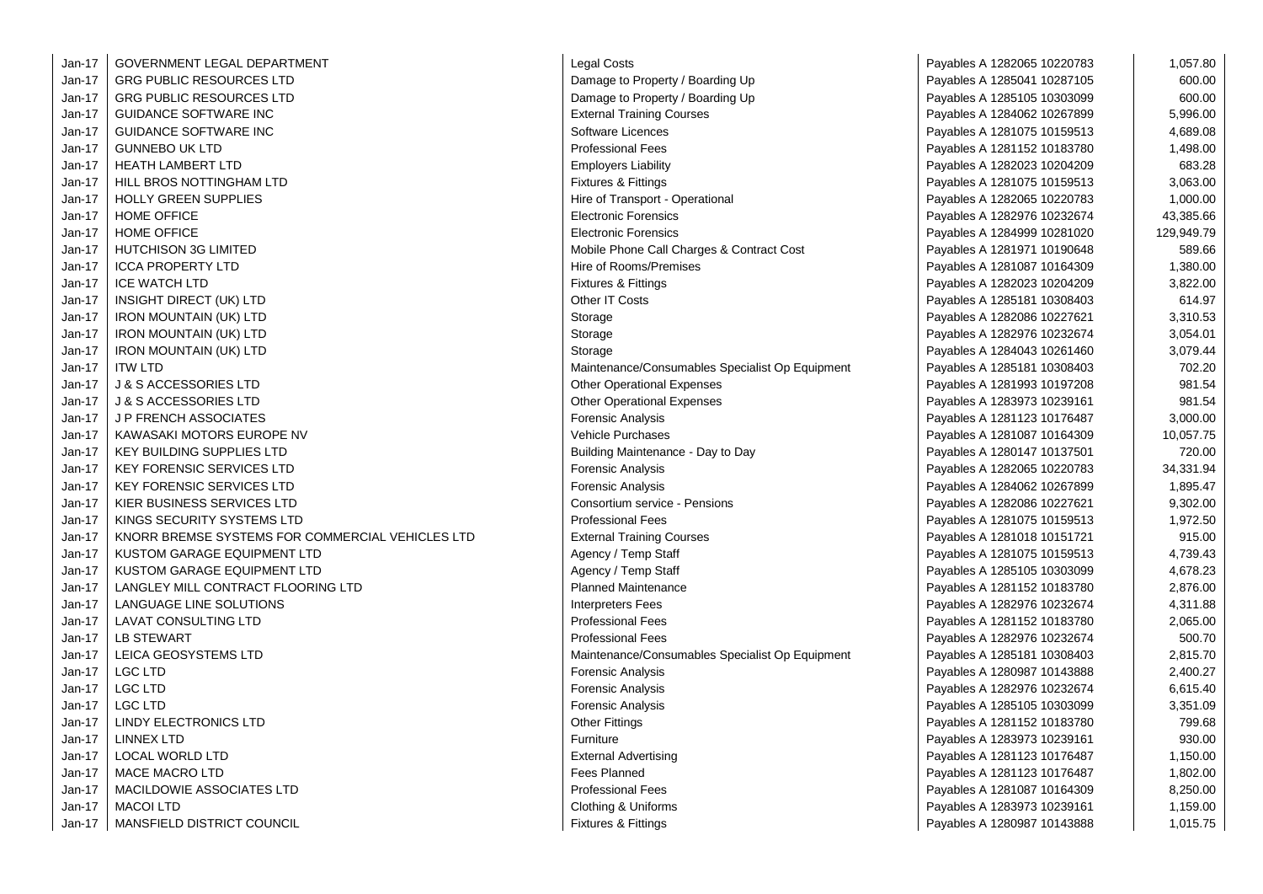| $Jan-17$ | GOVERNMENT LEGAL DEPARTMENT                      | Legal Costs                                     | Payables A 1282065 10220783 | 1,057.80   |
|----------|--------------------------------------------------|-------------------------------------------------|-----------------------------|------------|
| $Jan-17$ | <b>GRG PUBLIC RESOURCES LTD</b>                  | Damage to Property / Boarding Up                | Payables A 1285041 10287105 | 600.00     |
| Jan-17   | <b>GRG PUBLIC RESOURCES LTD</b>                  | Damage to Property / Boarding Up                | Payables A 1285105 10303099 | 600.00     |
| Jan-17   | <b>GUIDANCE SOFTWARE INC</b>                     | <b>External Training Courses</b>                | Payables A 1284062 10267899 | 5,996.00   |
| Jan-17   | <b>GUIDANCE SOFTWARE INC</b>                     | Software Licences                               | Payables A 1281075 10159513 | 4,689.08   |
| $Jan-17$ | <b>GUNNEBO UK LTD</b>                            | <b>Professional Fees</b>                        | Payables A 1281152 10183780 | 1,498.00   |
| Jan-17   | <b>HEATH LAMBERT LTD</b>                         | <b>Employers Liability</b>                      | Payables A 1282023 10204209 | 683.28     |
| Jan-17   | HILL BROS NOTTINGHAM LTD                         | Fixtures & Fittings                             | Payables A 1281075 10159513 | 3,063.00   |
| Jan-17   | <b>HOLLY GREEN SUPPLIES</b>                      | Hire of Transport - Operational                 | Payables A 1282065 10220783 | 1,000.00   |
| Jan-17   | <b>HOME OFFICE</b>                               | <b>Electronic Forensics</b>                     | Payables A 1282976 10232674 | 43,385.66  |
| $Jan-17$ | <b>HOME OFFICE</b>                               | <b>Electronic Forensics</b>                     | Payables A 1284999 10281020 | 129,949.79 |
| Jan-17   | <b>HUTCHISON 3G LIMITED</b>                      | Mobile Phone Call Charges & Contract Cost       | Payables A 1281971 10190648 | 589.66     |
| Jan-17   | <b>ICCA PROPERTY LTD</b>                         | Hire of Rooms/Premises                          | Payables A 1281087 10164309 | 1,380.00   |
| Jan-17   | <b>ICE WATCH LTD</b>                             | <b>Fixtures &amp; Fittings</b>                  | Payables A 1282023 10204209 | 3,822.00   |
| Jan-17   | <b>INSIGHT DIRECT (UK) LTD</b>                   | Other IT Costs                                  | Payables A 1285181 10308403 | 614.97     |
| Jan-17   | <b>IRON MOUNTAIN (UK) LTD</b>                    | Storage                                         | Payables A 1282086 10227621 | 3,310.53   |
| Jan-17   | <b>IRON MOUNTAIN (UK) LTD</b>                    | Storage                                         | Payables A 1282976 10232674 | 3,054.01   |
| Jan-17   | <b>IRON MOUNTAIN (UK) LTD</b>                    | Storage                                         | Payables A 1284043 10261460 | 3,079.44   |
| Jan-17   | <b>ITW LTD</b>                                   | Maintenance/Consumables Specialist Op Equipment | Payables A 1285181 10308403 | 702.20     |
| Jan-17   | <b>J &amp; S ACCESSORIES LTD</b>                 | <b>Other Operational Expenses</b>               | Payables A 1281993 10197208 | 981.54     |
| Jan-17   | J & S ACCESSORIES LTD                            | <b>Other Operational Expenses</b>               | Payables A 1283973 10239161 | 981.54     |
| Jan-17   | <b>J P FRENCH ASSOCIATES</b>                     | Forensic Analysis                               | Payables A 1281123 10176487 | 3,000.00   |
| Jan-17   | KAWASAKI MOTORS EUROPE NV                        | <b>Vehicle Purchases</b>                        | Payables A 1281087 10164309 | 10,057.75  |
| Jan-17   | <b>KEY BUILDING SUPPLIES LTD</b>                 | Building Maintenance - Day to Day               | Payables A 1280147 10137501 | 720.00     |
| Jan-17   | <b>KEY FORENSIC SERVICES LTD</b>                 | Forensic Analysis                               | Payables A 1282065 10220783 | 34,331.94  |
| Jan-17   | <b>KEY FORENSIC SERVICES LTD</b>                 | Forensic Analysis                               | Payables A 1284062 10267899 | 1,895.47   |
| Jan-17   | KIER BUSINESS SERVICES LTD                       | Consortium service - Pensions                   | Payables A 1282086 10227621 | 9,302.00   |
| Jan-17   | KINGS SECURITY SYSTEMS LTD                       | <b>Professional Fees</b>                        | Payables A 1281075 10159513 | 1,972.50   |
| Jan-17   | KNORR BREMSE SYSTEMS FOR COMMERCIAL VEHICLES LTD | <b>External Training Courses</b>                | Payables A 1281018 10151721 | 915.00     |
| Jan-17   | KUSTOM GARAGE EQUIPMENT LTD                      | Agency / Temp Staff                             | Payables A 1281075 10159513 | 4,739.43   |
| Jan-17   | KUSTOM GARAGE EQUIPMENT LTD                      | Agency / Temp Staff                             | Payables A 1285105 10303099 | 4,678.23   |
| Jan-17   | LANGLEY MILL CONTRACT FLOORING LTD               | <b>Planned Maintenance</b>                      | Payables A 1281152 10183780 | 2,876.00   |
| $Jan-17$ | <b>LANGUAGE LINE SOLUTIONS</b>                   | <b>Interpreters Fees</b>                        | Payables A 1282976 10232674 | 4,311.88   |
| $Jan-17$ | <b>LAVAT CONSULTING LTD</b>                      | <b>Professional Fees</b>                        | Payables A 1281152 10183780 | 2,065.00   |
| Jan-17   | <b>LB STEWART</b>                                | <b>Professional Fees</b>                        | Payables A 1282976 10232674 | 500.70     |
| Jan-17   | LEICA GEOSYSTEMS LTD                             | Maintenance/Consumables Specialist Op Equipment | Payables A 1285181 10308403 | 2,815.70   |
| Jan-17   | <b>LGC LTD</b>                                   | Forensic Analysis                               | Payables A 1280987 10143888 | 2,400.27   |
| Jan-17   | <b>LGC LTD</b>                                   | Forensic Analysis                               | Payables A 1282976 10232674 | 6,615.40   |
| $Jan-17$ | <b>LGC LTD</b>                                   | Forensic Analysis                               | Payables A 1285105 10303099 | 3,351.09   |
| Jan-17   | LINDY ELECTRONICS LTD                            | <b>Other Fittings</b>                           | Payables A 1281152 10183780 | 799.68     |
| Jan-17   | <b>LINNEX LTD</b>                                | Furniture                                       | Payables A 1283973 10239161 | 930.00     |
| Jan-17   | <b>LOCAL WORLD LTD</b>                           | <b>External Advertising</b>                     | Payables A 1281123 10176487 | 1,150.00   |
| Jan-17   | <b>MACE MACRO LTD</b>                            | <b>Fees Planned</b>                             | Payables A 1281123 10176487 | 1,802.00   |
| Jan-17   | MACILDOWIE ASSOCIATES LTD                        | Professional Fees                               | Payables A 1281087 10164309 | 8,250.00   |
| Jan-17   | <b>MACOI LTD</b>                                 | Clothing & Uniforms                             | Payables A 1283973 10239161 | 1,159.00   |
| Jan-17   | MANSFIELD DISTRICT COUNCIL                       | <b>Fixtures &amp; Fittings</b>                  | Payables A 1280987 10143888 | 1,015.75   |

| Legal Costs                                     |
|-------------------------------------------------|
| Damage to Property / Boarding Up                |
| Damage to Property / Boarding Up                |
| <b>External Training Courses</b>                |
| Software Licences                               |
| <b>Professional Fees</b>                        |
| <b>Employers Liability</b>                      |
| <b>Fixtures &amp; Fittings</b>                  |
| Hire of Transport - Operational                 |
| <b>Electronic Forensics</b>                     |
| <b>Electronic Forensics</b>                     |
| Mobile Phone Call Charges & Contract Cost       |
| Hire of Rooms/Premises                          |
| <b>Fixtures &amp; Fittings</b>                  |
| Other IT Costs                                  |
| Storage                                         |
| Storage                                         |
| Storage                                         |
| Maintenance/Consumables Specialist Op Equipment |
| <b>Other Operational Expenses</b>               |
| <b>Other Operational Expenses</b>               |
| <b>Forensic Analysis</b>                        |
| <b>Vehicle Purchases</b>                        |
| Building Maintenance - Day to Day               |
| Forensic Analysis                               |
| Forensic Analysis                               |
| Consortium service - Pensions                   |
| <b>Professional Fees</b>                        |
| <b>External Training Courses</b>                |
| Agency / Temp Staff                             |
| Agency / Temp Staff                             |
| <b>Planned Maintenance</b>                      |
| <b>Interpreters Fees</b>                        |
| <b>Professional Fees</b>                        |
| <b>Professional Fees</b>                        |
| Maintenance/Consumables Specialist Op Equipment |
| <b>Forensic Analysis</b>                        |
| <b>Forensic Analysis</b>                        |
| <b>Forensic Analysis</b>                        |
| <b>Other Fittings</b>                           |
| Furniture                                       |
| <b>External Advertising</b>                     |
| <b>Fees Planned</b>                             |
| <b>Professional Fees</b>                        |
| Clothing & Uniforms                             |
| <b>Fixtures &amp; Fittings</b>                  |

| Payables A 1282065 10220783 | 1,057.80   |
|-----------------------------|------------|
| Payables A 1285041 10287105 | 600.00     |
| Payables A 1285105 10303099 | 600.00     |
| Payables A 1284062 10267899 | 5,996.00   |
| Payables A 1281075 10159513 | 4,689.08   |
| Payables A 1281152 10183780 | 1,498.00   |
| Payables A 1282023 10204209 | 683.28     |
| Payables A 1281075 10159513 | 3,063.00   |
| Payables A 1282065 10220783 | 1,000.00   |
| Payables A 1282976 10232674 | 43,385.66  |
| Payables A 1284999 10281020 | 129,949.79 |
| Payables A 1281971 10190648 | 589.66     |
| Payables A 1281087 10164309 | 1,380.00   |
| Payables A 1282023 10204209 | 3,822.00   |
| Payables A 1285181 10308403 | 614.97     |
| Payables A 1282086 10227621 | 3,310.53   |
| Payables A 1282976 10232674 | 3,054.01   |
| Payables A 1284043 10261460 | 3,079.44   |
| Payables A 1285181 10308403 | 702.20     |
| Payables A 1281993 10197208 | 981.54     |
| Payables A 1283973 10239161 | 981.54     |
| Payables A 1281123 10176487 | 3,000.00   |
| Payables A 1281087 10164309 | 10,057.75  |
| Payables A 1280147 10137501 | 720.00     |
| Payables A 1282065 10220783 | 34,331.94  |
| Payables A 1284062 10267899 | 1,895.47   |
| Payables A 1282086 10227621 | 9,302.00   |
| Payables A 1281075 10159513 | 1,972.50   |
| Payables A 1281018 10151721 | 915.00     |
| Payables A 1281075 10159513 | 4,739.43   |
| Payables A 1285105 10303099 | 4,678.23   |
| Payables A 1281152 10183780 | 2,876.00   |
| Payables A 1282976 10232674 | 4,311.88   |
| Payables A 1281152 10183780 | 2,065.00   |
| Payables A 1282976 10232674 | 500.70     |
| Payables A 1285181 10308403 | 2,815.70   |
| Payables A 1280987 10143888 | 2,400.27   |
| Payables A 1282976 10232674 | 6,615.40   |
| Payables A 1285105 10303099 | 3,351.09   |
| Payables A 1281152 10183780 | 799.68     |
| Payables A 1283973 10239161 | 930.00     |
| Payables A 1281123 10176487 | 1,150.00   |
| Payables A 1281123 10176487 | 1,802.00   |
| Payables A 1281087 10164309 | 8,250.00   |
| Payables A 1283973 10239161 | 1,159.00   |
| Pavables A 1280987 10143888 | 1.015.75   |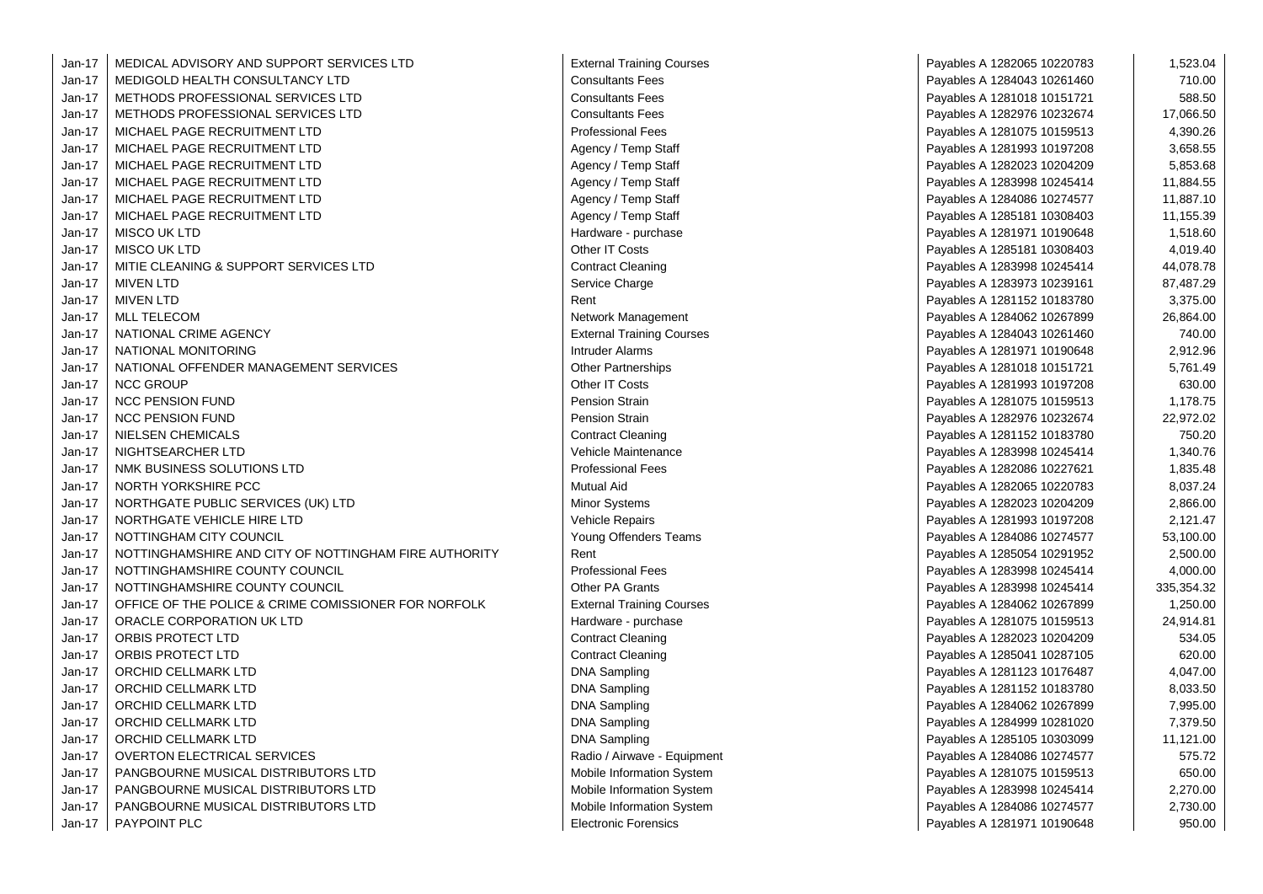| Jan-17   | MEDICAL ADVISORY AND SUPPORT SERVICES LTD             | <b>External Training Courses</b> | Payables A 1282065 10220783 | 1,523.04   |
|----------|-------------------------------------------------------|----------------------------------|-----------------------------|------------|
| Jan-17   | MEDIGOLD HEALTH CONSULTANCY LTD                       | <b>Consultants Fees</b>          | Payables A 1284043 10261460 | 710.00     |
| $Jan-17$ | METHODS PROFESSIONAL SERVICES LTD                     | <b>Consultants Fees</b>          | Payables A 1281018 10151721 | 588.50     |
| $Jan-17$ | METHODS PROFESSIONAL SERVICES LTD                     | <b>Consultants Fees</b>          | Payables A 1282976 10232674 | 17,066.50  |
| Jan-17   | MICHAEL PAGE RECRUITMENT LTD                          | <b>Professional Fees</b>         | Payables A 1281075 10159513 | 4,390.26   |
| $Jan-17$ | MICHAEL PAGE RECRUITMENT LTD                          | Agency / Temp Staff              | Payables A 1281993 10197208 | 3,658.55   |
| Jan-17   | MICHAEL PAGE RECRUITMENT LTD                          | Agency / Temp Staff              | Payables A 1282023 10204209 | 5,853.68   |
| Jan-17   | MICHAEL PAGE RECRUITMENT LTD                          | Agency / Temp Staff              | Payables A 1283998 10245414 | 11,884.55  |
| Jan-17   | MICHAEL PAGE RECRUITMENT LTD                          | Agency / Temp Staff              | Payables A 1284086 10274577 | 11,887.10  |
| Jan-17   | MICHAEL PAGE RECRUITMENT LTD                          | Agency / Temp Staff              | Payables A 1285181 10308403 | 11,155.39  |
| $Jan-17$ | <b>MISCO UK LTD</b>                                   | Hardware - purchase              | Payables A 1281971 10190648 | 1,518.60   |
| $Jan-17$ | <b>MISCO UK LTD</b>                                   | Other IT Costs                   | Payables A 1285181 10308403 | 4,019.40   |
| Jan-17   | MITIE CLEANING & SUPPORT SERVICES LTD                 | <b>Contract Cleaning</b>         | Payables A 1283998 10245414 | 44,078.78  |
| Jan-17   | <b>MIVEN LTD</b>                                      | Service Charge                   | Payables A 1283973 10239161 | 87,487.29  |
| $Jan-17$ | <b>MIVEN LTD</b>                                      | Rent                             | Payables A 1281152 10183780 | 3,375.00   |
| Jan-17   | MLL TELECOM                                           | Network Management               | Payables A 1284062 10267899 | 26,864.00  |
| $Jan-17$ | NATIONAL CRIME AGENCY                                 | <b>External Training Courses</b> | Payables A 1284043 10261460 | 740.00     |
| Jan-17   | NATIONAL MONITORING                                   | <b>Intruder Alarms</b>           | Payables A 1281971 10190648 | 2,912.96   |
| Jan-17   | NATIONAL OFFENDER MANAGEMENT SERVICES                 | <b>Other Partnerships</b>        | Payables A 1281018 10151721 | 5,761.49   |
| $Jan-17$ | <b>NCC GROUP</b>                                      | Other IT Costs                   | Payables A 1281993 10197208 | 630.00     |
| Jan-17   | <b>NCC PENSION FUND</b>                               | <b>Pension Strain</b>            | Payables A 1281075 10159513 | 1,178.75   |
| Jan-17   | <b>NCC PENSION FUND</b>                               | <b>Pension Strain</b>            | Payables A 1282976 10232674 | 22,972.02  |
| Jan-17   | NIELSEN CHEMICALS                                     | <b>Contract Cleaning</b>         | Payables A 1281152 10183780 | 750.20     |
| Jan-17   | NIGHTSEARCHER LTD                                     | Vehicle Maintenance              | Payables A 1283998 10245414 | 1,340.76   |
| $Jan-17$ | NMK BUSINESS SOLUTIONS LTD                            | <b>Professional Fees</b>         | Payables A 1282086 10227621 | 1,835.48   |
| Jan-17   | NORTH YORKSHIRE PCC                                   | <b>Mutual Aid</b>                | Payables A 1282065 10220783 | 8,037.24   |
| Jan-17   | NORTHGATE PUBLIC SERVICES (UK) LTD                    | Minor Systems                    | Payables A 1282023 10204209 | 2,866.00   |
| Jan-17   | NORTHGATE VEHICLE HIRE LTD                            | <b>Vehicle Repairs</b>           | Payables A 1281993 10197208 | 2,121.47   |
| Jan-17   | NOTTINGHAM CITY COUNCIL                               | Young Offenders Teams            | Payables A 1284086 10274577 | 53,100.00  |
| Jan-17   | NOTTINGHAMSHIRE AND CITY OF NOTTINGHAM FIRE AUTHORITY | Rent                             | Payables A 1285054 10291952 | 2,500.00   |
| $Jan-17$ | NOTTINGHAMSHIRE COUNTY COUNCIL                        | <b>Professional Fees</b>         | Payables A 1283998 10245414 | 4,000.00   |
| $Jan-17$ | NOTTINGHAMSHIRE COUNTY COUNCIL                        | Other PA Grants                  | Payables A 1283998 10245414 | 335,354.32 |
| Jan-17   | OFFICE OF THE POLICE & CRIME COMISSIONER FOR NORFOLK  | <b>External Training Courses</b> | Payables A 1284062 10267899 | 1,250.00   |
| Jan-17   | ORACLE CORPORATION UK LTD                             | Hardware - purchase              | Payables A 1281075 10159513 | 24,914.81  |
| $Jan-17$ | ORBIS PROTECT LTD                                     | <b>Contract Cleaning</b>         | Payables A 1282023 10204209 | 534.05     |
| $Jan-17$ | ORBIS PROTECT LTD                                     | <b>Contract Cleaning</b>         | Payables A 1285041 10287105 | 620.00     |
| Jan-17   | ORCHID CELLMARK LTD                                   | <b>DNA Sampling</b>              | Payables A 1281123 10176487 | 4,047.00   |
| Jan-17   | ORCHID CELLMARK LTD                                   | <b>DNA Sampling</b>              | Payables A 1281152 10183780 | 8,033.50   |
| $Jan-17$ | ORCHID CELLMARK LTD                                   | <b>DNA Sampling</b>              | Payables A 1284062 10267899 | 7,995.00   |
| $Jan-17$ | ORCHID CELLMARK LTD                                   | <b>DNA Sampling</b>              | Payables A 1284999 10281020 | 7,379.50   |
| Jan-17   | ORCHID CELLMARK LTD                                   | <b>DNA Sampling</b>              | Payables A 1285105 10303099 | 11,121.00  |
| Jan-17   | OVERTON ELECTRICAL SERVICES                           | Radio / Airwave - Equipment      | Payables A 1284086 10274577 | 575.72     |
| $Jan-17$ | PANGBOURNE MUSICAL DISTRIBUTORS LTD                   | Mobile Information System        | Payables A 1281075 10159513 | 650.00     |
| $Jan-17$ | PANGBOURNE MUSICAL DISTRIBUTORS LTD                   | Mobile Information System        | Payables A 1283998 10245414 | 2,270.00   |
| $Jan-17$ | PANGBOURNE MUSICAL DISTRIBUTORS LTD                   | Mobile Information System        | Payables A 1284086 10274577 | 2,730.00   |
| $Jan-17$ | PAYPOINT PLC                                          | <b>Electronic Forensics</b>      | Payables A 1281971 10190648 | 950.00     |

| External Training Courses        |
|----------------------------------|
| <b>Consultants Fees</b>          |
| <b>Consultants Fees</b>          |
| <b>Consultants Fees</b>          |
| <b>Professional Fees</b>         |
| Agency / Temp Staff              |
| Agency / Temp Staff              |
| Agency / Temp Staff              |
| Agency / Temp Staff              |
| Agency / Temp Staff              |
| Hardware - purchase              |
| Other IT Costs                   |
| <b>Contract Cleaning</b>         |
| Service Charge                   |
| Rent                             |
| Network Management               |
| <b>External Training Courses</b> |
| Intruder Alarms                  |
| Other Partnerships               |
| Other IT Costs                   |
| Pension Strain                   |
| Pension Strain                   |
| <b>Contract Cleaning</b>         |
| Vehicle Maintenance              |
| Professional Fees                |
| Mutual Aid                       |
| Minor Systems                    |
| Vehicle Repairs                  |
| Young Offenders Teams            |
| Rent                             |
| <b>Professional Fees</b>         |
| Other PA Grants                  |
| <b>External Training Courses</b> |
| Hardware - purchase              |
| <b>Contract Cleaning</b>         |
| Contract Cleaning                |
| <b>DNA Sampling</b>              |
| <b>DNA Sampling</b>              |
| DNA Sampling                     |
| <b>DNA Sampling</b>              |
| <b>DNA Sampling</b>              |
| Radio / Airwave - Equipment      |
| Mobile Information System        |
| Mobile Information System        |
| Mobile Information System        |
| <b>Electronic Forensics</b>      |

| raining Courses      | Payables A 1282065 10220783 | 1,523.04   |
|----------------------|-----------------------------|------------|
| ts Fees              | Payables A 1284043 10261460 | 710.00     |
| ts Fees              | Payables A 1281018 10151721 | 588.50     |
| ts Fees              | Payables A 1282976 10232674 | 17,066.50  |
| ial Fees             | Payables A 1281075 10159513 | 4,390.26   |
| emp Staff            | Payables A 1281993 10197208 | 3,658.55   |
| emp Staff            | Payables A 1282023 10204209 | 5,853.68   |
| emp Staff            | Payables A 1283998 10245414 | 11,884.55  |
| emp Staff            | Payables A 1284086 10274577 | 11,887.10  |
| emp Staff            | Payables A 1285181 10308403 | 11,155.39  |
| - purchase           | Payables A 1281971 10190648 | 1,518.60   |
| osts                 | Payables A 1285181 10308403 | 4,019.40   |
| leaning:             | Payables A 1283998 10245414 | 44,078.78  |
| arge                 | Payables A 1283973 10239161 | 87,487.29  |
|                      | Payables A 1281152 10183780 | 3,375.00   |
| lanagement           | Payables A 1284062 10267899 | 26,864.00  |
| raining Courses      | Payables A 1284043 10261460 | 740.00     |
| arms                 | Payables A 1281971 10190648 | 2,912.96   |
| nerships             | Payables A 1281018 10151721 | 5,761.49   |
| osts                 | Payables A 1281993 10197208 | 630.00     |
| train                | Payables A 1281075 10159513 | 1,178.75   |
| train                | Payables A 1282976 10232674 | 22,972.02  |
| leaning:             | Payables A 1281152 10183780 | 750.20     |
| aintenance           | Payables A 1283998 10245414 | 1,340.76   |
| al Fees              | Payables A 1282086 10227621 | 1,835.48   |
|                      | Payables A 1282065 10220783 | 8,037.24   |
| tems                 | Payables A 1282023 10204209 | 2,866.00   |
| epairs               | Payables A 1281993 10197208 | 2,121.47   |
| enders Teams         | Payables A 1284086 10274577 | 53,100.00  |
|                      | Payables A 1285054 10291952 | 2,500.00   |
| ıal Fees             | Payables A 1283998 10245414 | 4,000.00   |
| Grants               | Payables A 1283998 10245414 | 335,354.32 |
| raining Courses      | Payables A 1284062 10267899 | 1,250.00   |
| - purchase           | Payables A 1281075 10159513 | 24,914.81  |
| leaning:             | Payables A 1282023 10204209 | 534.05     |
| leaning:             | Payables A 1285041 10287105 | 620.00     |
| pling                | Payables A 1281123 10176487 | 4,047.00   |
| pling                | Payables A 1281152 10183780 | 8,033.50   |
| pling                | Payables A 1284062 10267899 | 7,995.00   |
| pling                | Payables A 1284999 10281020 | 7,379.50   |
| pling                | Payables A 1285105 10303099 | 11,121.00  |
| wave - Equipment     | Payables A 1284086 10274577 | 575.72     |
| ormation System      | Payables A 1281075 10159513 | 650.00     |
| ormation System      | Payables A 1283998 10245414 | 2,270.00   |
| ิ<br>วrmation System | Payables A 1284086 10274577 | 2,730.00   |
| <b>Forensics</b>     | Pavables A 1281971 10190648 | 950.00     |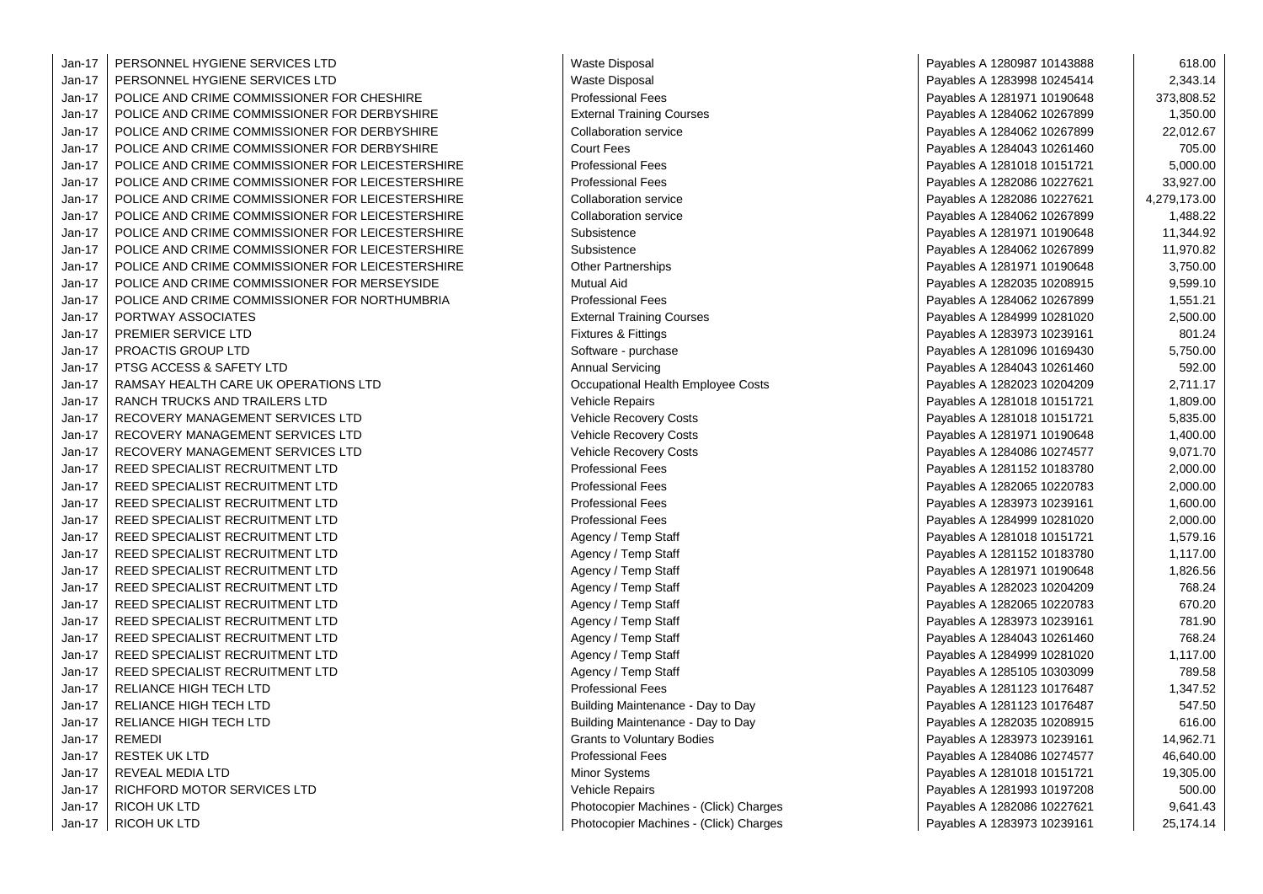Jan-17 PERSONNEL HYGIENE SERVICES LTD Waste Disposal Jan-17 | PERSONNEL HYGIENE SERVICES LTD WASTE PAYABLES A 1283998 1024541 2,343.14 2,343.14 2,343.14 2,343.14 2,343.14 2,343.14 2,343.14 2,343.14 2,343.14 2,343.14 2,343.14 2,343.14 2,343.14 2,343.14 2,343.14 2,343.14 2,343 Jan-17 POLICE AND CRIME COMMISSIONER FOR CHESHIRE PROPERTY PROFESSIONAL Fees Jan-17 POLICE AND CRIME COMMISSIONER FOR DERBYSHIRE **External Training Courses** Jan-17 POLICE AND CRIME COMMISSIONER FOR DERBYSHIRE COMMISSIONER PAYABLES A 1284062 22-012. Jan-17 POLICE AND CRIME COMMISSIONER FOR DERBYSHIRE FAGGERRY RESERVENT RESERVENT RESERVENT RESERVENT RESERVENT Jan-17 POLICE AND CRIME COMMISSIONER FOR LEICESTERSHIRE Professional Fees Jan-17 POLICE AND CRIME COMMISSIONER FOR LEICESTERSHIRE Professional Fees Jan-17 | POLICE AND CRIME COMMISSIONER FOR LEICESTERSHIRE | Collaboration service Jan-17 POLICE AND CRIME COMMISSIONER FOR LEICESTERSHIRE COLLABORATION Service Jan-17 POLICE AND CRIME COMMISSIONER FOR LEICESTERSHIRE Subsistence Jan-17 POLICE AND CRIME COMMISSIONER FOR LEICESTERSHIRE Subsistence Jan-17 | POLICE AND CRIME COMMISSIONER FOR LEICESTERSHIRE | Other Partnerships Jan-17 POLICE AND CRIME COMMISSIONER FOR MERSEYSIDE Mutual Aid Payables A 1282035 1020 102089 Jan-17 POLICE AND CRIME COMMISSIONER FOR NORTHUMBRIA PROFESSIONAL Professional Fees Jan-17 PORTWAY ASSOCIATES **External Training Courses** Payables A 1284999 10281020 2,500.000 2,500.000 2,500.000 2,500.000 2,500.000 2,500.000 2,500.000 2,500.000 2,500.000 2,500.000 2,500.000 2,500.000 2,500.000 2,500.000 Jan-17 PREMIER SERVICE LTD Fixtures & Fittings Payables A 1283973 10239161 801.24 Jan-17 PROACTIS GROUP LTD Software - purchase Payables A 1281096 10169430 5,750.00 Jan-17 PTSG ACCESS & SAFETY LTD Annual Servicing Payables A 1284043 10261 10261460 592.0004444444444 Jan-17 RAMSAY HEALTH CARE UK OPERATIONS LTD **Definitional Health Employee Costs** Payables A 1282023 1020420 2,71 Jan-17 RANCH TRUCKS AND TRAILERS LTD Vehicle Repairs Payables A 1281018 10151721 1,809.00 Jan-17 | RECOVERY MANAGEMENT SERVICES LTD Vehicle Recovery Costs Jan-17 | RECOVERY MANAGEMENT SERVICES LTD Vehicle Recovery Costs Jan-17 RECOVERY MANAGEMENT SERVICES LTD Vehicle Recovery Costs Payables A 1284086 10274 10284 10274 102757 9,0 Jan-17 REED SPECIALIST RECRUITMENT LTD Professional Fees Jan-17 REED SPECIALIST RECRUITMENT LTD Professional Fees Jan-17 REED SPECIALIST RECRUITMENT LTD Professional Fees Jan-17 REED SPECIALIST RECRUITMENT LTD Professional Fees Jan-17 REED SPECIALIST RECRUITMENT LTD Agency / Temp Staff Payables A 1281018 10151721 1,579.1679.16 Jan-17 REED SPECIALIST RECRUITMENT LTD Agency / Temp Staff Payables A 1281152 10183781818181 Jan-17 REED SPECIALIST RECRUITMENT LTD Agency / Temp Staff Payables A 1281971 1011 Jan-17 REED SPECIALIST RECRUITMENT LTD Agency / Temp Staff Payables A 1282023 1020420 Jan-17 | REED SPECIALIST RECRUITMENT LTD **Agency / Temp Staff Payables A 128206** Jan-17 REED SPECIALIST RECRUITMENT LTD Agency / Temp Staff Payables A 1283973 1023973 1023973 10239 Jan-17 REED SPECIALIST RECRUITMENT LTD Agency / Temp Staff Payables A 1284043 10261 10261460 1026146 Jan-17 REED SPECIALIST RECRUITMENT LTD Agency / Temp Staff Payables A 1284999 102810 Jan-17 | REED SPECIALIST RECRUITMENT LTD **Agency / Temp Staff Payables A 1285105 103030** Jan-17 RELIANCE HIGH TECH LTD Professional Fees Jan-17 RELIANCE HIGH TECH LTD Building Maintenance - Day to Day Jan-17 | RELIANCE HIGH TECH LTD **Building Maintenance - Day to Day** Jan-17 REMEDI GRANTS TO BOOST 17 A 1283973 1023973 102392 102392 102392 102392 102392 102392 102392 102392 1023 Jan-17 RESTEK UK LTD Professional Fees Payables A 1284086 10274577 46,640.00 Jan-17 REVEAL MEDIA LTD Minor Systems Payables A 1281018 10151721 19,305.00 Jan-17 RICHFORD MOTOR SERVICES LTD Vehicle Repairs Payables A 1281993 10197208 500.00 Jan-17 RICOH UK LTD **Photocopier Machines - (Click)** Charges **Payables A 1282086 102276 102276 102276 102276 102276** Jan-17 RICOH UK LTD Photocopier Machines - (Click) Charges Payables A 1283973 1023973 1023973 1023973 102392 10

| Payables A 1280987 10143888 | 618.00       |
|-----------------------------|--------------|
| Payables A 1283998 10245414 | 2,343.14     |
| Payables A 1281971 10190648 | 373,808.52   |
| Payables A 1284062 10267899 | 1,350.00     |
| Payables A 1284062 10267899 | 22,012.67    |
| Payables A 1284043 10261460 | 705.00       |
| Payables A 1281018 10151721 | 5,000.00     |
| Payables A 1282086 10227621 | 33,927.00    |
| Payables A 1282086 10227621 | 4,279,173.00 |
| Payables A 1284062 10267899 | 1,488.22     |
| Payables A 1281971 10190648 | 11,344.92    |
| Payables A 1284062 10267899 | 11,970.82    |
| Payables A 1281971 10190648 | 3,750.00     |
| Payables A 1282035 10208915 | 9,599.10     |
| Payables A 1284062 10267899 | 1,551.21     |
| Payables A 1284999 10281020 | 2,500.00     |
| Payables A 1283973 10239161 | 801.24       |
| Payables A 1281096 10169430 | 5,750.00     |
| Payables A 1284043 10261460 | 592.00       |
| Payables A 1282023 10204209 | 2,711.17     |
| Payables A 1281018 10151721 | 1,809.00     |
| Payables A 1281018 10151721 | 5,835.00     |
| Payables A 1281971 10190648 | 1,400.00     |
| Payables A 1284086 10274577 | 9,071.70     |
| Payables A 1281152 10183780 | 2,000.00     |
| Payables A 1282065 10220783 | 2,000.00     |
| Payables A 1283973 10239161 | 1,600.00     |
| Payables A 1284999 10281020 | 2,000.00     |
| Payables A 1281018 10151721 | 1,579.16     |
| Payables A 1281152 10183780 | 1,117.00     |
| Payables A 1281971 10190648 | 1,826.56     |
| Payables A 1282023 10204209 | 768.24       |
| Payables A 1282065 10220783 | 670.20       |
| Payables A 1283973 10239161 | 781.90       |
| Payables A 1284043 10261460 | 768.24       |
| Payables A 1284999 10281020 | 1,117.00     |
| Payables A 1285105 10303099 | 789.58       |
| Payables A 1281123 10176487 | 1,347.52     |
| Payables A 1281123 10176487 | 547.50       |
| Payables A 1282035 10208915 | 616.00       |
| Payables A 1283973 10239161 | 14,962.71    |
| Payables A 1284086 10274577 | 46,640.00    |
| Payables A 1281018 10151721 | 19,305.00    |
| Payables A 1281993 10197208 | 500.00       |
| Payables A 1282086 10227621 | 9,641.43     |
| Payables A 1283973 10239161 | 25,174.14    |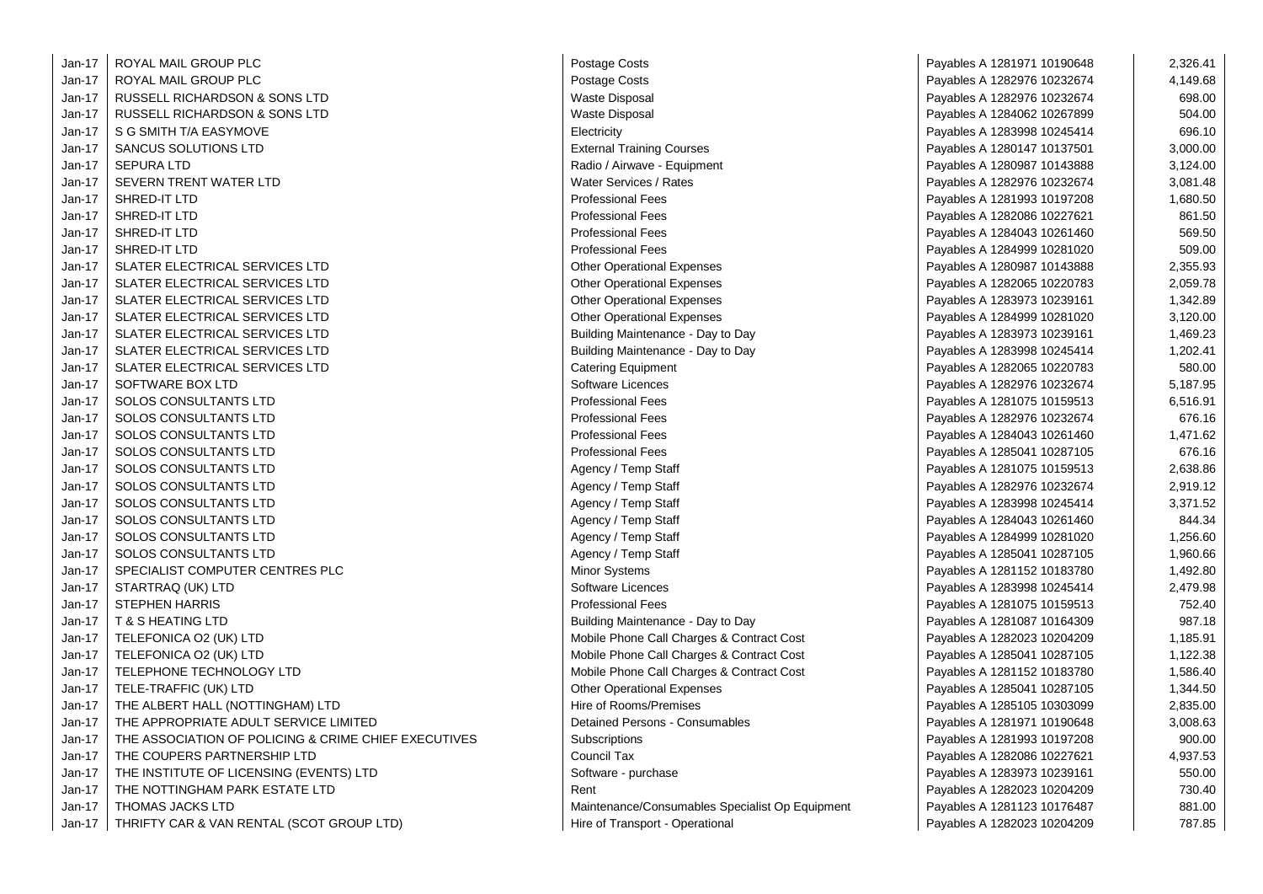| Postage Costs<br>Jan-17<br>ROYAL MAIL GROUP PLC<br>Payables A 1282976 10232674<br>4,149.68<br><b>Waste Disposal</b><br>Jan-17<br>RUSSELL RICHARDSON & SONS LTD<br>Payables A 1282976 10232674<br>698.00<br>Jan-17<br><b>Waste Disposal</b><br>504.00<br>RUSSELL RICHARDSON & SONS LTD<br>Payables A 1284062 10267899<br>696.10<br>Jan-17<br>S G SMITH T/A EASYMOVE<br>Electricity<br>Payables A 1283998 10245414<br>$Jan-17$<br>SANCUS SOLUTIONS LTD<br><b>External Training Courses</b><br>3,000.00<br>Payables A 1280147 10137501<br>$Jan-17$<br><b>SEPURA LTD</b><br>Radio / Airwave - Equipment<br>3,124.00<br>Payables A 1280987 10143888<br>Jan-17<br>SEVERN TRENT WATER LTD<br>Water Services / Rates<br>Payables A 1282976 10232674<br>3,081.48<br>$Jan-17$<br>SHRED-IT LTD<br><b>Professional Fees</b><br>1,680.50<br>Payables A 1281993 10197208<br>Jan-17<br>SHRED-IT LTD<br><b>Professional Fees</b><br>861.50<br>Payables A 1282086 10227621<br>569.50<br>Jan-17<br>SHRED-IT LTD<br><b>Professional Fees</b><br>Payables A 1284043 10261460<br>Jan-17<br>SHRED-IT LTD<br><b>Professional Fees</b><br>509.00<br>Payables A 1284999 10281020<br>Jan-17<br>SLATER ELECTRICAL SERVICES LTD<br><b>Other Operational Expenses</b><br>2,355.93<br>Payables A 1280987 10143888<br>Jan-17<br>SLATER ELECTRICAL SERVICES LTD<br><b>Other Operational Expenses</b><br>2,059.78<br>Payables A 1282065 10220783<br>Jan-17<br>SLATER ELECTRICAL SERVICES LTD<br><b>Other Operational Expenses</b><br>1,342.89<br>Payables A 1283973 10239161<br>Jan-17<br>SLATER ELECTRICAL SERVICES LTD<br><b>Other Operational Expenses</b><br>Payables A 1284999 10281020<br>3,120.00<br>$Jan-17$<br>SLATER ELECTRICAL SERVICES LTD<br>Building Maintenance - Day to Day<br>1,469.23<br>Payables A 1283973 10239161<br>Jan-17<br>SLATER ELECTRICAL SERVICES LTD<br>1,202.41<br>Building Maintenance - Day to Day<br>Payables A 1283998 10245414<br>Jan-17<br>SLATER ELECTRICAL SERVICES LTD<br>580.00<br><b>Catering Equipment</b><br>Payables A 1282065 10220783<br>$Jan-17$<br>SOFTWARE BOX LTD<br>Software Licences<br>Payables A 1282976 10232674<br>5,187.95<br>Jan-17<br><b>SOLOS CONSULTANTS LTD</b><br><b>Professional Fees</b><br>6,516.91<br>Payables A 1281075 10159513<br>SOLOS CONSULTANTS LTD<br>$Jan-17$<br><b>Professional Fees</b><br>676.16<br>Payables A 1282976 10232674<br>Jan-17<br><b>SOLOS CONSULTANTS LTD</b><br><b>Professional Fees</b><br>1,471.62<br>Payables A 1284043 10261460<br><b>Professional Fees</b><br>676.16<br>Jan-17<br>SOLOS CONSULTANTS LTD<br>Payables A 1285041 10287105<br>$Jan-17$<br><b>SOLOS CONSULTANTS LTD</b><br>Agency / Temp Staff<br>Payables A 1281075 10159513<br>2,638.86<br>Jan-17<br>2,919.12<br>SOLOS CONSULTANTS LTD<br>Agency / Temp Staff<br>Payables A 1282976 10232674<br>Jan-17<br><b>SOLOS CONSULTANTS LTD</b><br>3,371.52<br>Agency / Temp Staff<br>Payables A 1283998 10245414<br>$Jan-17$<br>844.34<br>SOLOS CONSULTANTS LTD<br>Agency / Temp Staff<br>Payables A 1284043 10261460<br>Jan-17<br><b>SOLOS CONSULTANTS LTD</b><br>1,256.60<br>Agency / Temp Staff<br>Payables A 1284999 10281020<br>Jan-17<br><b>SOLOS CONSULTANTS LTD</b><br>Agency / Temp Staff<br>1,960.66<br>Payables A 1285041 10287105<br>Jan-17<br>SPECIALIST COMPUTER CENTRES PLC<br><b>Minor Systems</b><br>Payables A 1281152 10183780<br>1,492.80<br>Jan-17<br>STARTRAQ (UK) LTD<br>Software Licences<br>2,479.98<br>Payables A 1283998 10245414<br>Jan-17<br><b>Professional Fees</b><br>752.40<br><b>STEPHEN HARRIS</b><br>Payables A 1281075 10159513<br>Jan-17<br>987.18<br><b>T &amp; S HEATING LTD</b><br>Building Maintenance - Day to Day<br>Payables A 1281087 10164309<br>Jan-17<br>TELEFONICA O2 (UK) LTD<br>Mobile Phone Call Charges & Contract Cost<br>1,185.91<br>Payables A 1282023 10204209<br>Jan-17<br>Mobile Phone Call Charges & Contract Cost<br>1,122.38<br>TELEFONICA O2 (UK) LTD<br>Payables A 1285041 10287105<br>Jan-17<br>TELEPHONE TECHNOLOGY LTD<br>Mobile Phone Call Charges & Contract Cost<br>1,586.40<br>Payables A 1281152 10183780<br>Jan-17<br>TELE-TRAFFIC (UK) LTD<br><b>Other Operational Expenses</b><br>1,344.50<br>Payables A 1285041 10287105<br>Hire of Rooms/Premises<br>$Jan-17$<br>2,835.00<br>THE ALBERT HALL (NOTTINGHAM) LTD<br>Payables A 1285105 10303099<br>Detained Persons - Consumables<br>Jan-17<br>THE APPROPRIATE ADULT SERVICE LIMITED<br>3,008.63<br>Payables A 1281971 10190648 |
|----------------------------------------------------------------------------------------------------------------------------------------------------------------------------------------------------------------------------------------------------------------------------------------------------------------------------------------------------------------------------------------------------------------------------------------------------------------------------------------------------------------------------------------------------------------------------------------------------------------------------------------------------------------------------------------------------------------------------------------------------------------------------------------------------------------------------------------------------------------------------------------------------------------------------------------------------------------------------------------------------------------------------------------------------------------------------------------------------------------------------------------------------------------------------------------------------------------------------------------------------------------------------------------------------------------------------------------------------------------------------------------------------------------------------------------------------------------------------------------------------------------------------------------------------------------------------------------------------------------------------------------------------------------------------------------------------------------------------------------------------------------------------------------------------------------------------------------------------------------------------------------------------------------------------------------------------------------------------------------------------------------------------------------------------------------------------------------------------------------------------------------------------------------------------------------------------------------------------------------------------------------------------------------------------------------------------------------------------------------------------------------------------------------------------------------------------------------------------------------------------------------------------------------------------------------------------------------------------------------------------------------------------------------------------------------------------------------------------------------------------------------------------------------------------------------------------------------------------------------------------------------------------------------------------------------------------------------------------------------------------------------------------------------------------------------------------------------------------------------------------------------------------------------------------------------------------------------------------------------------------------------------------------------------------------------------------------------------------------------------------------------------------------------------------------------------------------------------------------------------------------------------------------------------------------------------------------------------------------------------------------------------------------------------------------------------------------------------------------------------------------------------------------------------------------------------------------------------------------------------------------------------------------------------------------------------------------------------------------------------------------------------------------------------------------------------------------------------------------------------------------------------------------------------------------------------------------------------------------------------------------------------------------------------------------------------------------------------------------------------------------------------------------------------------------------------------------------------------------|
|                                                                                                                                                                                                                                                                                                                                                                                                                                                                                                                                                                                                                                                                                                                                                                                                                                                                                                                                                                                                                                                                                                                                                                                                                                                                                                                                                                                                                                                                                                                                                                                                                                                                                                                                                                                                                                                                                                                                                                                                                                                                                                                                                                                                                                                                                                                                                                                                                                                                                                                                                                                                                                                                                                                                                                                                                                                                                                                                                                                                                                                                                                                                                                                                                                                                                                                                                                                                                                                                                                                                                                                                                                                                                                                                                                                                                                                                                                                                                                                                                                                                                                                                                                                                                                                                                                                                                                                                                                                                                  |
|                                                                                                                                                                                                                                                                                                                                                                                                                                                                                                                                                                                                                                                                                                                                                                                                                                                                                                                                                                                                                                                                                                                                                                                                                                                                                                                                                                                                                                                                                                                                                                                                                                                                                                                                                                                                                                                                                                                                                                                                                                                                                                                                                                                                                                                                                                                                                                                                                                                                                                                                                                                                                                                                                                                                                                                                                                                                                                                                                                                                                                                                                                                                                                                                                                                                                                                                                                                                                                                                                                                                                                                                                                                                                                                                                                                                                                                                                                                                                                                                                                                                                                                                                                                                                                                                                                                                                                                                                                                                                  |
|                                                                                                                                                                                                                                                                                                                                                                                                                                                                                                                                                                                                                                                                                                                                                                                                                                                                                                                                                                                                                                                                                                                                                                                                                                                                                                                                                                                                                                                                                                                                                                                                                                                                                                                                                                                                                                                                                                                                                                                                                                                                                                                                                                                                                                                                                                                                                                                                                                                                                                                                                                                                                                                                                                                                                                                                                                                                                                                                                                                                                                                                                                                                                                                                                                                                                                                                                                                                                                                                                                                                                                                                                                                                                                                                                                                                                                                                                                                                                                                                                                                                                                                                                                                                                                                                                                                                                                                                                                                                                  |
|                                                                                                                                                                                                                                                                                                                                                                                                                                                                                                                                                                                                                                                                                                                                                                                                                                                                                                                                                                                                                                                                                                                                                                                                                                                                                                                                                                                                                                                                                                                                                                                                                                                                                                                                                                                                                                                                                                                                                                                                                                                                                                                                                                                                                                                                                                                                                                                                                                                                                                                                                                                                                                                                                                                                                                                                                                                                                                                                                                                                                                                                                                                                                                                                                                                                                                                                                                                                                                                                                                                                                                                                                                                                                                                                                                                                                                                                                                                                                                                                                                                                                                                                                                                                                                                                                                                                                                                                                                                                                  |
|                                                                                                                                                                                                                                                                                                                                                                                                                                                                                                                                                                                                                                                                                                                                                                                                                                                                                                                                                                                                                                                                                                                                                                                                                                                                                                                                                                                                                                                                                                                                                                                                                                                                                                                                                                                                                                                                                                                                                                                                                                                                                                                                                                                                                                                                                                                                                                                                                                                                                                                                                                                                                                                                                                                                                                                                                                                                                                                                                                                                                                                                                                                                                                                                                                                                                                                                                                                                                                                                                                                                                                                                                                                                                                                                                                                                                                                                                                                                                                                                                                                                                                                                                                                                                                                                                                                                                                                                                                                                                  |
|                                                                                                                                                                                                                                                                                                                                                                                                                                                                                                                                                                                                                                                                                                                                                                                                                                                                                                                                                                                                                                                                                                                                                                                                                                                                                                                                                                                                                                                                                                                                                                                                                                                                                                                                                                                                                                                                                                                                                                                                                                                                                                                                                                                                                                                                                                                                                                                                                                                                                                                                                                                                                                                                                                                                                                                                                                                                                                                                                                                                                                                                                                                                                                                                                                                                                                                                                                                                                                                                                                                                                                                                                                                                                                                                                                                                                                                                                                                                                                                                                                                                                                                                                                                                                                                                                                                                                                                                                                                                                  |
|                                                                                                                                                                                                                                                                                                                                                                                                                                                                                                                                                                                                                                                                                                                                                                                                                                                                                                                                                                                                                                                                                                                                                                                                                                                                                                                                                                                                                                                                                                                                                                                                                                                                                                                                                                                                                                                                                                                                                                                                                                                                                                                                                                                                                                                                                                                                                                                                                                                                                                                                                                                                                                                                                                                                                                                                                                                                                                                                                                                                                                                                                                                                                                                                                                                                                                                                                                                                                                                                                                                                                                                                                                                                                                                                                                                                                                                                                                                                                                                                                                                                                                                                                                                                                                                                                                                                                                                                                                                                                  |
|                                                                                                                                                                                                                                                                                                                                                                                                                                                                                                                                                                                                                                                                                                                                                                                                                                                                                                                                                                                                                                                                                                                                                                                                                                                                                                                                                                                                                                                                                                                                                                                                                                                                                                                                                                                                                                                                                                                                                                                                                                                                                                                                                                                                                                                                                                                                                                                                                                                                                                                                                                                                                                                                                                                                                                                                                                                                                                                                                                                                                                                                                                                                                                                                                                                                                                                                                                                                                                                                                                                                                                                                                                                                                                                                                                                                                                                                                                                                                                                                                                                                                                                                                                                                                                                                                                                                                                                                                                                                                  |
|                                                                                                                                                                                                                                                                                                                                                                                                                                                                                                                                                                                                                                                                                                                                                                                                                                                                                                                                                                                                                                                                                                                                                                                                                                                                                                                                                                                                                                                                                                                                                                                                                                                                                                                                                                                                                                                                                                                                                                                                                                                                                                                                                                                                                                                                                                                                                                                                                                                                                                                                                                                                                                                                                                                                                                                                                                                                                                                                                                                                                                                                                                                                                                                                                                                                                                                                                                                                                                                                                                                                                                                                                                                                                                                                                                                                                                                                                                                                                                                                                                                                                                                                                                                                                                                                                                                                                                                                                                                                                  |
|                                                                                                                                                                                                                                                                                                                                                                                                                                                                                                                                                                                                                                                                                                                                                                                                                                                                                                                                                                                                                                                                                                                                                                                                                                                                                                                                                                                                                                                                                                                                                                                                                                                                                                                                                                                                                                                                                                                                                                                                                                                                                                                                                                                                                                                                                                                                                                                                                                                                                                                                                                                                                                                                                                                                                                                                                                                                                                                                                                                                                                                                                                                                                                                                                                                                                                                                                                                                                                                                                                                                                                                                                                                                                                                                                                                                                                                                                                                                                                                                                                                                                                                                                                                                                                                                                                                                                                                                                                                                                  |
|                                                                                                                                                                                                                                                                                                                                                                                                                                                                                                                                                                                                                                                                                                                                                                                                                                                                                                                                                                                                                                                                                                                                                                                                                                                                                                                                                                                                                                                                                                                                                                                                                                                                                                                                                                                                                                                                                                                                                                                                                                                                                                                                                                                                                                                                                                                                                                                                                                                                                                                                                                                                                                                                                                                                                                                                                                                                                                                                                                                                                                                                                                                                                                                                                                                                                                                                                                                                                                                                                                                                                                                                                                                                                                                                                                                                                                                                                                                                                                                                                                                                                                                                                                                                                                                                                                                                                                                                                                                                                  |
|                                                                                                                                                                                                                                                                                                                                                                                                                                                                                                                                                                                                                                                                                                                                                                                                                                                                                                                                                                                                                                                                                                                                                                                                                                                                                                                                                                                                                                                                                                                                                                                                                                                                                                                                                                                                                                                                                                                                                                                                                                                                                                                                                                                                                                                                                                                                                                                                                                                                                                                                                                                                                                                                                                                                                                                                                                                                                                                                                                                                                                                                                                                                                                                                                                                                                                                                                                                                                                                                                                                                                                                                                                                                                                                                                                                                                                                                                                                                                                                                                                                                                                                                                                                                                                                                                                                                                                                                                                                                                  |
|                                                                                                                                                                                                                                                                                                                                                                                                                                                                                                                                                                                                                                                                                                                                                                                                                                                                                                                                                                                                                                                                                                                                                                                                                                                                                                                                                                                                                                                                                                                                                                                                                                                                                                                                                                                                                                                                                                                                                                                                                                                                                                                                                                                                                                                                                                                                                                                                                                                                                                                                                                                                                                                                                                                                                                                                                                                                                                                                                                                                                                                                                                                                                                                                                                                                                                                                                                                                                                                                                                                                                                                                                                                                                                                                                                                                                                                                                                                                                                                                                                                                                                                                                                                                                                                                                                                                                                                                                                                                                  |
|                                                                                                                                                                                                                                                                                                                                                                                                                                                                                                                                                                                                                                                                                                                                                                                                                                                                                                                                                                                                                                                                                                                                                                                                                                                                                                                                                                                                                                                                                                                                                                                                                                                                                                                                                                                                                                                                                                                                                                                                                                                                                                                                                                                                                                                                                                                                                                                                                                                                                                                                                                                                                                                                                                                                                                                                                                                                                                                                                                                                                                                                                                                                                                                                                                                                                                                                                                                                                                                                                                                                                                                                                                                                                                                                                                                                                                                                                                                                                                                                                                                                                                                                                                                                                                                                                                                                                                                                                                                                                  |
|                                                                                                                                                                                                                                                                                                                                                                                                                                                                                                                                                                                                                                                                                                                                                                                                                                                                                                                                                                                                                                                                                                                                                                                                                                                                                                                                                                                                                                                                                                                                                                                                                                                                                                                                                                                                                                                                                                                                                                                                                                                                                                                                                                                                                                                                                                                                                                                                                                                                                                                                                                                                                                                                                                                                                                                                                                                                                                                                                                                                                                                                                                                                                                                                                                                                                                                                                                                                                                                                                                                                                                                                                                                                                                                                                                                                                                                                                                                                                                                                                                                                                                                                                                                                                                                                                                                                                                                                                                                                                  |
|                                                                                                                                                                                                                                                                                                                                                                                                                                                                                                                                                                                                                                                                                                                                                                                                                                                                                                                                                                                                                                                                                                                                                                                                                                                                                                                                                                                                                                                                                                                                                                                                                                                                                                                                                                                                                                                                                                                                                                                                                                                                                                                                                                                                                                                                                                                                                                                                                                                                                                                                                                                                                                                                                                                                                                                                                                                                                                                                                                                                                                                                                                                                                                                                                                                                                                                                                                                                                                                                                                                                                                                                                                                                                                                                                                                                                                                                                                                                                                                                                                                                                                                                                                                                                                                                                                                                                                                                                                                                                  |
|                                                                                                                                                                                                                                                                                                                                                                                                                                                                                                                                                                                                                                                                                                                                                                                                                                                                                                                                                                                                                                                                                                                                                                                                                                                                                                                                                                                                                                                                                                                                                                                                                                                                                                                                                                                                                                                                                                                                                                                                                                                                                                                                                                                                                                                                                                                                                                                                                                                                                                                                                                                                                                                                                                                                                                                                                                                                                                                                                                                                                                                                                                                                                                                                                                                                                                                                                                                                                                                                                                                                                                                                                                                                                                                                                                                                                                                                                                                                                                                                                                                                                                                                                                                                                                                                                                                                                                                                                                                                                  |
|                                                                                                                                                                                                                                                                                                                                                                                                                                                                                                                                                                                                                                                                                                                                                                                                                                                                                                                                                                                                                                                                                                                                                                                                                                                                                                                                                                                                                                                                                                                                                                                                                                                                                                                                                                                                                                                                                                                                                                                                                                                                                                                                                                                                                                                                                                                                                                                                                                                                                                                                                                                                                                                                                                                                                                                                                                                                                                                                                                                                                                                                                                                                                                                                                                                                                                                                                                                                                                                                                                                                                                                                                                                                                                                                                                                                                                                                                                                                                                                                                                                                                                                                                                                                                                                                                                                                                                                                                                                                                  |
|                                                                                                                                                                                                                                                                                                                                                                                                                                                                                                                                                                                                                                                                                                                                                                                                                                                                                                                                                                                                                                                                                                                                                                                                                                                                                                                                                                                                                                                                                                                                                                                                                                                                                                                                                                                                                                                                                                                                                                                                                                                                                                                                                                                                                                                                                                                                                                                                                                                                                                                                                                                                                                                                                                                                                                                                                                                                                                                                                                                                                                                                                                                                                                                                                                                                                                                                                                                                                                                                                                                                                                                                                                                                                                                                                                                                                                                                                                                                                                                                                                                                                                                                                                                                                                                                                                                                                                                                                                                                                  |
|                                                                                                                                                                                                                                                                                                                                                                                                                                                                                                                                                                                                                                                                                                                                                                                                                                                                                                                                                                                                                                                                                                                                                                                                                                                                                                                                                                                                                                                                                                                                                                                                                                                                                                                                                                                                                                                                                                                                                                                                                                                                                                                                                                                                                                                                                                                                                                                                                                                                                                                                                                                                                                                                                                                                                                                                                                                                                                                                                                                                                                                                                                                                                                                                                                                                                                                                                                                                                                                                                                                                                                                                                                                                                                                                                                                                                                                                                                                                                                                                                                                                                                                                                                                                                                                                                                                                                                                                                                                                                  |
|                                                                                                                                                                                                                                                                                                                                                                                                                                                                                                                                                                                                                                                                                                                                                                                                                                                                                                                                                                                                                                                                                                                                                                                                                                                                                                                                                                                                                                                                                                                                                                                                                                                                                                                                                                                                                                                                                                                                                                                                                                                                                                                                                                                                                                                                                                                                                                                                                                                                                                                                                                                                                                                                                                                                                                                                                                                                                                                                                                                                                                                                                                                                                                                                                                                                                                                                                                                                                                                                                                                                                                                                                                                                                                                                                                                                                                                                                                                                                                                                                                                                                                                                                                                                                                                                                                                                                                                                                                                                                  |
|                                                                                                                                                                                                                                                                                                                                                                                                                                                                                                                                                                                                                                                                                                                                                                                                                                                                                                                                                                                                                                                                                                                                                                                                                                                                                                                                                                                                                                                                                                                                                                                                                                                                                                                                                                                                                                                                                                                                                                                                                                                                                                                                                                                                                                                                                                                                                                                                                                                                                                                                                                                                                                                                                                                                                                                                                                                                                                                                                                                                                                                                                                                                                                                                                                                                                                                                                                                                                                                                                                                                                                                                                                                                                                                                                                                                                                                                                                                                                                                                                                                                                                                                                                                                                                                                                                                                                                                                                                                                                  |
|                                                                                                                                                                                                                                                                                                                                                                                                                                                                                                                                                                                                                                                                                                                                                                                                                                                                                                                                                                                                                                                                                                                                                                                                                                                                                                                                                                                                                                                                                                                                                                                                                                                                                                                                                                                                                                                                                                                                                                                                                                                                                                                                                                                                                                                                                                                                                                                                                                                                                                                                                                                                                                                                                                                                                                                                                                                                                                                                                                                                                                                                                                                                                                                                                                                                                                                                                                                                                                                                                                                                                                                                                                                                                                                                                                                                                                                                                                                                                                                                                                                                                                                                                                                                                                                                                                                                                                                                                                                                                  |
|                                                                                                                                                                                                                                                                                                                                                                                                                                                                                                                                                                                                                                                                                                                                                                                                                                                                                                                                                                                                                                                                                                                                                                                                                                                                                                                                                                                                                                                                                                                                                                                                                                                                                                                                                                                                                                                                                                                                                                                                                                                                                                                                                                                                                                                                                                                                                                                                                                                                                                                                                                                                                                                                                                                                                                                                                                                                                                                                                                                                                                                                                                                                                                                                                                                                                                                                                                                                                                                                                                                                                                                                                                                                                                                                                                                                                                                                                                                                                                                                                                                                                                                                                                                                                                                                                                                                                                                                                                                                                  |
|                                                                                                                                                                                                                                                                                                                                                                                                                                                                                                                                                                                                                                                                                                                                                                                                                                                                                                                                                                                                                                                                                                                                                                                                                                                                                                                                                                                                                                                                                                                                                                                                                                                                                                                                                                                                                                                                                                                                                                                                                                                                                                                                                                                                                                                                                                                                                                                                                                                                                                                                                                                                                                                                                                                                                                                                                                                                                                                                                                                                                                                                                                                                                                                                                                                                                                                                                                                                                                                                                                                                                                                                                                                                                                                                                                                                                                                                                                                                                                                                                                                                                                                                                                                                                                                                                                                                                                                                                                                                                  |
|                                                                                                                                                                                                                                                                                                                                                                                                                                                                                                                                                                                                                                                                                                                                                                                                                                                                                                                                                                                                                                                                                                                                                                                                                                                                                                                                                                                                                                                                                                                                                                                                                                                                                                                                                                                                                                                                                                                                                                                                                                                                                                                                                                                                                                                                                                                                                                                                                                                                                                                                                                                                                                                                                                                                                                                                                                                                                                                                                                                                                                                                                                                                                                                                                                                                                                                                                                                                                                                                                                                                                                                                                                                                                                                                                                                                                                                                                                                                                                                                                                                                                                                                                                                                                                                                                                                                                                                                                                                                                  |
|                                                                                                                                                                                                                                                                                                                                                                                                                                                                                                                                                                                                                                                                                                                                                                                                                                                                                                                                                                                                                                                                                                                                                                                                                                                                                                                                                                                                                                                                                                                                                                                                                                                                                                                                                                                                                                                                                                                                                                                                                                                                                                                                                                                                                                                                                                                                                                                                                                                                                                                                                                                                                                                                                                                                                                                                                                                                                                                                                                                                                                                                                                                                                                                                                                                                                                                                                                                                                                                                                                                                                                                                                                                                                                                                                                                                                                                                                                                                                                                                                                                                                                                                                                                                                                                                                                                                                                                                                                                                                  |
|                                                                                                                                                                                                                                                                                                                                                                                                                                                                                                                                                                                                                                                                                                                                                                                                                                                                                                                                                                                                                                                                                                                                                                                                                                                                                                                                                                                                                                                                                                                                                                                                                                                                                                                                                                                                                                                                                                                                                                                                                                                                                                                                                                                                                                                                                                                                                                                                                                                                                                                                                                                                                                                                                                                                                                                                                                                                                                                                                                                                                                                                                                                                                                                                                                                                                                                                                                                                                                                                                                                                                                                                                                                                                                                                                                                                                                                                                                                                                                                                                                                                                                                                                                                                                                                                                                                                                                                                                                                                                  |
|                                                                                                                                                                                                                                                                                                                                                                                                                                                                                                                                                                                                                                                                                                                                                                                                                                                                                                                                                                                                                                                                                                                                                                                                                                                                                                                                                                                                                                                                                                                                                                                                                                                                                                                                                                                                                                                                                                                                                                                                                                                                                                                                                                                                                                                                                                                                                                                                                                                                                                                                                                                                                                                                                                                                                                                                                                                                                                                                                                                                                                                                                                                                                                                                                                                                                                                                                                                                                                                                                                                                                                                                                                                                                                                                                                                                                                                                                                                                                                                                                                                                                                                                                                                                                                                                                                                                                                                                                                                                                  |
|                                                                                                                                                                                                                                                                                                                                                                                                                                                                                                                                                                                                                                                                                                                                                                                                                                                                                                                                                                                                                                                                                                                                                                                                                                                                                                                                                                                                                                                                                                                                                                                                                                                                                                                                                                                                                                                                                                                                                                                                                                                                                                                                                                                                                                                                                                                                                                                                                                                                                                                                                                                                                                                                                                                                                                                                                                                                                                                                                                                                                                                                                                                                                                                                                                                                                                                                                                                                                                                                                                                                                                                                                                                                                                                                                                                                                                                                                                                                                                                                                                                                                                                                                                                                                                                                                                                                                                                                                                                                                  |
|                                                                                                                                                                                                                                                                                                                                                                                                                                                                                                                                                                                                                                                                                                                                                                                                                                                                                                                                                                                                                                                                                                                                                                                                                                                                                                                                                                                                                                                                                                                                                                                                                                                                                                                                                                                                                                                                                                                                                                                                                                                                                                                                                                                                                                                                                                                                                                                                                                                                                                                                                                                                                                                                                                                                                                                                                                                                                                                                                                                                                                                                                                                                                                                                                                                                                                                                                                                                                                                                                                                                                                                                                                                                                                                                                                                                                                                                                                                                                                                                                                                                                                                                                                                                                                                                                                                                                                                                                                                                                  |
|                                                                                                                                                                                                                                                                                                                                                                                                                                                                                                                                                                                                                                                                                                                                                                                                                                                                                                                                                                                                                                                                                                                                                                                                                                                                                                                                                                                                                                                                                                                                                                                                                                                                                                                                                                                                                                                                                                                                                                                                                                                                                                                                                                                                                                                                                                                                                                                                                                                                                                                                                                                                                                                                                                                                                                                                                                                                                                                                                                                                                                                                                                                                                                                                                                                                                                                                                                                                                                                                                                                                                                                                                                                                                                                                                                                                                                                                                                                                                                                                                                                                                                                                                                                                                                                                                                                                                                                                                                                                                  |
|                                                                                                                                                                                                                                                                                                                                                                                                                                                                                                                                                                                                                                                                                                                                                                                                                                                                                                                                                                                                                                                                                                                                                                                                                                                                                                                                                                                                                                                                                                                                                                                                                                                                                                                                                                                                                                                                                                                                                                                                                                                                                                                                                                                                                                                                                                                                                                                                                                                                                                                                                                                                                                                                                                                                                                                                                                                                                                                                                                                                                                                                                                                                                                                                                                                                                                                                                                                                                                                                                                                                                                                                                                                                                                                                                                                                                                                                                                                                                                                                                                                                                                                                                                                                                                                                                                                                                                                                                                                                                  |
|                                                                                                                                                                                                                                                                                                                                                                                                                                                                                                                                                                                                                                                                                                                                                                                                                                                                                                                                                                                                                                                                                                                                                                                                                                                                                                                                                                                                                                                                                                                                                                                                                                                                                                                                                                                                                                                                                                                                                                                                                                                                                                                                                                                                                                                                                                                                                                                                                                                                                                                                                                                                                                                                                                                                                                                                                                                                                                                                                                                                                                                                                                                                                                                                                                                                                                                                                                                                                                                                                                                                                                                                                                                                                                                                                                                                                                                                                                                                                                                                                                                                                                                                                                                                                                                                                                                                                                                                                                                                                  |
|                                                                                                                                                                                                                                                                                                                                                                                                                                                                                                                                                                                                                                                                                                                                                                                                                                                                                                                                                                                                                                                                                                                                                                                                                                                                                                                                                                                                                                                                                                                                                                                                                                                                                                                                                                                                                                                                                                                                                                                                                                                                                                                                                                                                                                                                                                                                                                                                                                                                                                                                                                                                                                                                                                                                                                                                                                                                                                                                                                                                                                                                                                                                                                                                                                                                                                                                                                                                                                                                                                                                                                                                                                                                                                                                                                                                                                                                                                                                                                                                                                                                                                                                                                                                                                                                                                                                                                                                                                                                                  |
|                                                                                                                                                                                                                                                                                                                                                                                                                                                                                                                                                                                                                                                                                                                                                                                                                                                                                                                                                                                                                                                                                                                                                                                                                                                                                                                                                                                                                                                                                                                                                                                                                                                                                                                                                                                                                                                                                                                                                                                                                                                                                                                                                                                                                                                                                                                                                                                                                                                                                                                                                                                                                                                                                                                                                                                                                                                                                                                                                                                                                                                                                                                                                                                                                                                                                                                                                                                                                                                                                                                                                                                                                                                                                                                                                                                                                                                                                                                                                                                                                                                                                                                                                                                                                                                                                                                                                                                                                                                                                  |
|                                                                                                                                                                                                                                                                                                                                                                                                                                                                                                                                                                                                                                                                                                                                                                                                                                                                                                                                                                                                                                                                                                                                                                                                                                                                                                                                                                                                                                                                                                                                                                                                                                                                                                                                                                                                                                                                                                                                                                                                                                                                                                                                                                                                                                                                                                                                                                                                                                                                                                                                                                                                                                                                                                                                                                                                                                                                                                                                                                                                                                                                                                                                                                                                                                                                                                                                                                                                                                                                                                                                                                                                                                                                                                                                                                                                                                                                                                                                                                                                                                                                                                                                                                                                                                                                                                                                                                                                                                                                                  |
|                                                                                                                                                                                                                                                                                                                                                                                                                                                                                                                                                                                                                                                                                                                                                                                                                                                                                                                                                                                                                                                                                                                                                                                                                                                                                                                                                                                                                                                                                                                                                                                                                                                                                                                                                                                                                                                                                                                                                                                                                                                                                                                                                                                                                                                                                                                                                                                                                                                                                                                                                                                                                                                                                                                                                                                                                                                                                                                                                                                                                                                                                                                                                                                                                                                                                                                                                                                                                                                                                                                                                                                                                                                                                                                                                                                                                                                                                                                                                                                                                                                                                                                                                                                                                                                                                                                                                                                                                                                                                  |
|                                                                                                                                                                                                                                                                                                                                                                                                                                                                                                                                                                                                                                                                                                                                                                                                                                                                                                                                                                                                                                                                                                                                                                                                                                                                                                                                                                                                                                                                                                                                                                                                                                                                                                                                                                                                                                                                                                                                                                                                                                                                                                                                                                                                                                                                                                                                                                                                                                                                                                                                                                                                                                                                                                                                                                                                                                                                                                                                                                                                                                                                                                                                                                                                                                                                                                                                                                                                                                                                                                                                                                                                                                                                                                                                                                                                                                                                                                                                                                                                                                                                                                                                                                                                                                                                                                                                                                                                                                                                                  |
| 900.00<br>Jan-17<br>THE ASSOCIATION OF POLICING & CRIME CHIEF EXECUTIVES<br>Subscriptions<br>Payables A 1281993 10197208                                                                                                                                                                                                                                                                                                                                                                                                                                                                                                                                                                                                                                                                                                                                                                                                                                                                                                                                                                                                                                                                                                                                                                                                                                                                                                                                                                                                                                                                                                                                                                                                                                                                                                                                                                                                                                                                                                                                                                                                                                                                                                                                                                                                                                                                                                                                                                                                                                                                                                                                                                                                                                                                                                                                                                                                                                                                                                                                                                                                                                                                                                                                                                                                                                                                                                                                                                                                                                                                                                                                                                                                                                                                                                                                                                                                                                                                                                                                                                                                                                                                                                                                                                                                                                                                                                                                                         |
| Council Tax<br>4,937.53<br>Jan-17<br>THE COUPERS PARTNERSHIP LTD<br>Payables A 1282086 10227621                                                                                                                                                                                                                                                                                                                                                                                                                                                                                                                                                                                                                                                                                                                                                                                                                                                                                                                                                                                                                                                                                                                                                                                                                                                                                                                                                                                                                                                                                                                                                                                                                                                                                                                                                                                                                                                                                                                                                                                                                                                                                                                                                                                                                                                                                                                                                                                                                                                                                                                                                                                                                                                                                                                                                                                                                                                                                                                                                                                                                                                                                                                                                                                                                                                                                                                                                                                                                                                                                                                                                                                                                                                                                                                                                                                                                                                                                                                                                                                                                                                                                                                                                                                                                                                                                                                                                                                  |
| Jan-17<br>THE INSTITUTE OF LICENSING (EVENTS) LTD<br>Software - purchase<br>550.00<br>Payables A 1283973 10239161                                                                                                                                                                                                                                                                                                                                                                                                                                                                                                                                                                                                                                                                                                                                                                                                                                                                                                                                                                                                                                                                                                                                                                                                                                                                                                                                                                                                                                                                                                                                                                                                                                                                                                                                                                                                                                                                                                                                                                                                                                                                                                                                                                                                                                                                                                                                                                                                                                                                                                                                                                                                                                                                                                                                                                                                                                                                                                                                                                                                                                                                                                                                                                                                                                                                                                                                                                                                                                                                                                                                                                                                                                                                                                                                                                                                                                                                                                                                                                                                                                                                                                                                                                                                                                                                                                                                                                |
| $Jan-17$<br>THE NOTTINGHAM PARK ESTATE LTD<br>Rent<br>730.40<br>Payables A 1282023 10204209                                                                                                                                                                                                                                                                                                                                                                                                                                                                                                                                                                                                                                                                                                                                                                                                                                                                                                                                                                                                                                                                                                                                                                                                                                                                                                                                                                                                                                                                                                                                                                                                                                                                                                                                                                                                                                                                                                                                                                                                                                                                                                                                                                                                                                                                                                                                                                                                                                                                                                                                                                                                                                                                                                                                                                                                                                                                                                                                                                                                                                                                                                                                                                                                                                                                                                                                                                                                                                                                                                                                                                                                                                                                                                                                                                                                                                                                                                                                                                                                                                                                                                                                                                                                                                                                                                                                                                                      |
| 881.00<br>Jan-17<br><b>THOMAS JACKS LTD</b><br>Maintenance/Consumables Specialist Op Equipment<br>Payables A 1281123 10176487                                                                                                                                                                                                                                                                                                                                                                                                                                                                                                                                                                                                                                                                                                                                                                                                                                                                                                                                                                                                                                                                                                                                                                                                                                                                                                                                                                                                                                                                                                                                                                                                                                                                                                                                                                                                                                                                                                                                                                                                                                                                                                                                                                                                                                                                                                                                                                                                                                                                                                                                                                                                                                                                                                                                                                                                                                                                                                                                                                                                                                                                                                                                                                                                                                                                                                                                                                                                                                                                                                                                                                                                                                                                                                                                                                                                                                                                                                                                                                                                                                                                                                                                                                                                                                                                                                                                                    |
| 787.85<br>$Jan-17$<br>THRIFTY CAR & VAN RENTAL (SCOT GROUP LTD)<br>Hire of Transport - Operational<br>Payables A 1282023 10204209                                                                                                                                                                                                                                                                                                                                                                                                                                                                                                                                                                                                                                                                                                                                                                                                                                                                                                                                                                                                                                                                                                                                                                                                                                                                                                                                                                                                                                                                                                                                                                                                                                                                                                                                                                                                                                                                                                                                                                                                                                                                                                                                                                                                                                                                                                                                                                                                                                                                                                                                                                                                                                                                                                                                                                                                                                                                                                                                                                                                                                                                                                                                                                                                                                                                                                                                                                                                                                                                                                                                                                                                                                                                                                                                                                                                                                                                                                                                                                                                                                                                                                                                                                                                                                                                                                                                                |

| Postage Costs                           |
|-----------------------------------------|
| Postage Costs                           |
| <b>Waste Disposal</b>                   |
| <b>Waste Disposal</b>                   |
| Electricity                             |
| <b>External Training Courses</b>        |
| Radio / Airwave - Equipment             |
| <b>Water Services / Rates</b>           |
| <b>Professional Fees</b>                |
| <b>Professional Fees</b>                |
| <b>Professional Fees</b>                |
| <b>Professional Fees</b>                |
| <b>Other Operational Expenses</b>       |
| <b>Other Operational Expenses</b>       |
| <b>Other Operational Expenses</b>       |
| <b>Other Operational Expenses</b>       |
| Building Maintenance - Day to Day       |
| Building Maintenance - Day to Day       |
| <b>Catering Equipment</b>               |
| <b>Software Licences</b>                |
| <b>Professional Fees</b>                |
| <b>Professional Fees</b>                |
| <b>Professional Fees</b>                |
| <b>Professional Fees</b>                |
| Agency / Temp Staff                     |
| Agency / Temp Staff                     |
| Agency / Temp Staff                     |
| Agency / Temp Staff                     |
| Agency / Temp Staff                     |
| Agency / Temp Staff                     |
| <b>Minor Systems</b>                    |
| Software Licences                       |
| <b>Professional Fees</b>                |
| Building Maintenance - Day to Day       |
| Mobile Phone Call Charges & Contract Co |
| Mobile Phone Call Charges & Contract Co |
| Mobile Phone Call Charges & Contract Co |
| <b>Other Operational Expenses</b>       |
| <b>Hire of Rooms/Premises</b>           |
| Detained Persons - Consumables          |
| Subscriptions                           |
| Council Tax                             |
| Software - purchase                     |
| Rent                                    |
| Maintenance/Consumables Specialist Op   |
| Hire of Transport - Operational         |

| Payables A 1281971 10190648 | 2,326.41 |
|-----------------------------|----------|
| Payables A 1282976 10232674 | 4,149.68 |
| Payables A 1282976 10232674 | 698.00   |
| Payables A 1284062 10267899 | 504.00   |
| Payables A 1283998 10245414 | 696.10   |
| Payables A 1280147 10137501 | 3,000.00 |
| Payables A 1280987 10143888 | 3,124.00 |
| Payables A 1282976 10232674 | 3,081.48 |
| Payables A 1281993 10197208 | 1,680.50 |
| Payables A 1282086 10227621 | 861.50   |
| Payables A 1284043 10261460 | 569.50   |
| Payables A 1284999 10281020 | 509.00   |
| Payables A 1280987 10143888 | 2,355.93 |
| Payables A 1282065 10220783 | 2,059.78 |
| Payables A 1283973 10239161 | 1,342.89 |
| Payables A 1284999 10281020 | 3,120.00 |
| Payables A 1283973 10239161 | 1,469.23 |
| Payables A 1283998 10245414 | 1,202.41 |
| Payables A 1282065 10220783 | 580.00   |
| Payables A 1282976 10232674 | 5,187.95 |
| Payables A 1281075 10159513 | 6,516.91 |
| Payables A 1282976 10232674 | 676.16   |
| Payables A 1284043 10261460 | 1,471.62 |
| Payables A 1285041 10287105 | 676.16   |
| Payables A 1281075 10159513 | 2,638.86 |
| Payables A 1282976 10232674 | 2,919.12 |
| Payables A 1283998 10245414 | 3,371.52 |
| Payables A 1284043 10261460 | 844.34   |
| Payables A 1284999 10281020 | 1,256.60 |
| Payables A 1285041 10287105 | 1,960.66 |
| Payables A 1281152 10183780 | 1,492.80 |
| Payables A 1283998 10245414 | 2,479.98 |
| Payables A 1281075 10159513 | 752.40   |
| Payables A 1281087 10164309 | 987.18   |
| Payables A 1282023 10204209 | 1,185.91 |
| Payables A 1285041 10287105 | 1,122.38 |
| Payables A 1281152 10183780 | 1,586.40 |
| Payables A 1285041 10287105 | 1,344.50 |
| Payables A 1285105 10303099 | 2,835.00 |
| Payables A 1281971 10190648 | 3,008.63 |
| Payables A 1281993 10197208 | 900.00   |
| Payables A 1282086 10227621 | 4,937.53 |
| Payables A 1283973 10239161 | 550.00   |
| Payables A 1282023 10204209 | 730.40   |
| Payables A 1281123 10176487 | 881.00   |
| Payables A 1282023 10204209 | 787.85   |